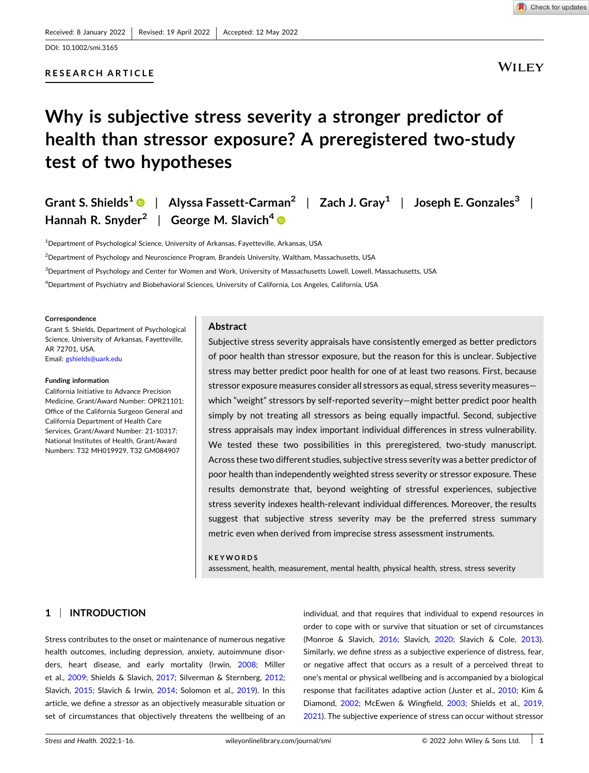# **RESEARCH AR ICLE**



**WILEY** 

# **Why is subjective stress severity a stronger predictor of health than stressor exposure? A preregistered two‐study test of two hypotheses**

| Grant S. Shields <sup>1</sup> $\bullet$   Alyssa Fassett-Carman <sup>2</sup>   Zach J. Gray <sup>1</sup>   Joseph E. Gonzales <sup>3</sup> |  |
|--------------------------------------------------------------------------------------------------------------------------------------------|--|
| Hannah R. Snyder <sup>2</sup>   George M. Slavich <sup>4</sup> $\bullet$                                                                   |  |

<sup>1</sup>Department of Psychological Science, University of Arkansas, Fayetteville, Arkansas, USA

2 Department of Psychology and Neuroscience Program, Brandeis University, Waltham, Massachusetts, USA

3 Department of Psychology and Center for Women and Work, University of Massachusetts Lowell, Lowell, Massachusetts, USA

4 Department of Psychiatry and Biobehavioral Sciences, University of California, Los Angeles, California, USA

#### **Correspondence**

Grant S. Shields, Department of Psychological Science, University of Arkansas, Fayetteville, AR 72701, USA. Email [gshields@uark.edu](mailto:gshields@uark.edu)

#### **Funding information**

California Initiative to Advance Precision Medicine, Grant/Award Number: OPR21101: Offce of the California Surgeon General and California Department of Health Care Services, Grant/Award Number: 21-10317; National Institutes of Health, Grant/Award Numbers: T32 MH019929, T32 GM084907

# **Abstract**

Subjective stress severity appraisals have consistently emerged as better predictors of poor health than stressor exposure, but the reason for this is unclear. Subjective stress may better predict poor health for one of at least two reasons. First, because stressor exposure measures consider all stressors as equal, stress severity measures which "weight" stressors by self-reported severity-might better predict poor health simply by not treating all stressors as being equally impactful. Second, subjective stress appraisals may index important individual differences in stress vulnerability. We tested these two possibilities in this preregistered, two-study manuscript. Across these two different studies, subjective stress severity was a better predictor of poor health than independently weighted stress severity or stressor exposure. These results demonstrate that, beyond weighting of stressful experiences, subjective stress severity indexes health‐relevant individual differences. Moreover, the results suggest that subjective stress severity may be the preferred stress summary metric even when derived from imprecise stress assessment instruments.

#### **KEYWORDS**

assessment, health, measurement, mental health, physical health, stress, stress severity

# **1** <sup>|</sup> **IN RODUC ION**

health outcomes, including depression, anxiety, autoimmune disor- Similarly, we defne *stress* as a subjective experience of distress, fear, ders, heart disease, and early mortality (Irwin, [2008;](#page-14-0) Miller or negative affect that occurs as a result of a perceived threat to et al., [2009;](#page-14-0) Shields & Slavich, [2017;](#page-14-0) Silverman & Sternberg, [2012](#page-14-0); one's mental or physical wellbeing and is accompanied by a biological Slavich, [2015;](#page-14-0) Slavich & Irwin, [2014](#page-15-0); Solomon et al., [2019](#page-15-0)). In this response that facilitates adaptive action (Juster et al., [2010](#page-14-0); Kim & article, we defne a *stressor* as an objectively measurable situation or Diamond, [2002;](#page-14-0) McEwen & Wingfeld, [2003](#page-14-0); Shields et al., [2019,](#page-14-0)

individual, and that requires that individual to expend resources in order to cope with or survive that situation or set of circumstances Stress contributes to the onset or maintenance of numerous negative (Monroe & Slavich, [2016;](#page-14-0) Slavich, [2020](#page-14-0); Slavich & Cole, [2013\)](#page-15-0). set of circumstances that objectively threatens the wellbeing of an [2021](#page-14-0)). The subjective experience of stress can occur without stressor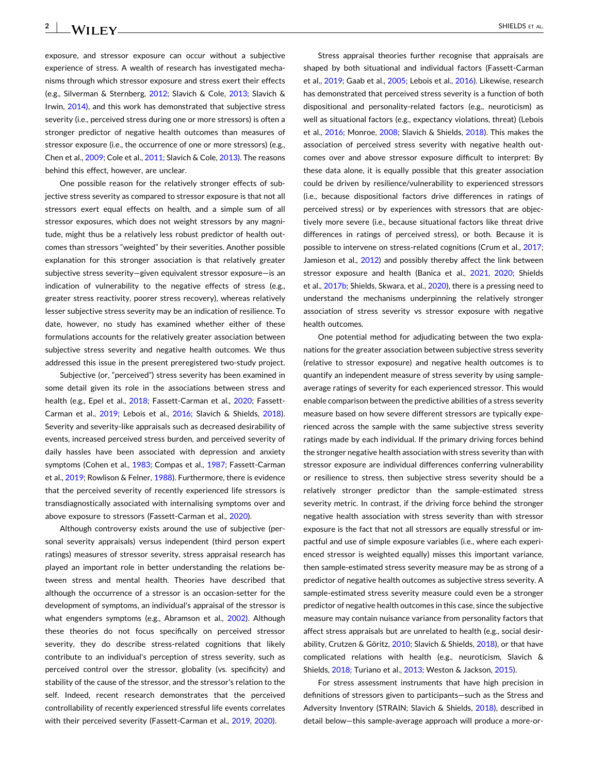exposure, and stressor exposure can occur without a subjective experience of stress. A wealth of research has investigated mechanisms through which stressor exposure and stress exert their effects (e.g., Silverman & Sternberg, [2012](#page-14-0); Slavich & Cole, [2013](#page-15-0); Slavich & Irwin, [2014\)](#page-15-0), and this work has demonstrated that subjective stress severity (i.e., perceived stress during one or more stressors) is often a stronger predictor of negative health outcomes than measures of stressor exposure (i.e., the occurrence of one or more stressors) (e.g., Chen et al., [2009;](#page-13-0) Cole et al., [2011;](#page-13-0) Slavich & Cole, [2013](#page-15-0)). The reasons behind this effect, however, are unclear.

One possible reason for the relatively stronger effects of subjective stress severity as compared to stressor exposure is that not all stressors exert equal effects on health, and a simple sum of all stressor exposures, which does not weight stressors by any magnitude, might thus be a relatively less robust predictor of health outcomes than stressors "weighted" by their severities. Another possible explanation for this stronger association is that relatively greater subjective stress severity—given equivalent stressor exposure—is an indication of vulnerability to the negative effects of stress (e.g., greater stress reactivity, poorer stress recovery), whereas relatively lesser subjective stress severity may be an indication of resilience. To date, however, no study has examined whether either of these formulations accounts for the relatively greater association between subjective stress severity and negative health outcomes. We thus addressed this issue in the present preregistered two‐study project.

Subjective (or, "perceived") stress severity has been examined in some detail given its role in the associations between stress and health (e.g., Epel et al., [2018](#page-13-0); Fassett-Carman et al., [2020;](#page-13-0) Fassett-Carman et al., [2019](#page-13-0); Lebois et al., [2016;](#page-14-0) Slavich & Shields, [2018](#page-15-0)). Severity and severity‐like appraisals such as decreased desirability of events, increased perceived stress burden, and perceived severity of daily hassles have been associated with depression and anxiety symptoms (Cohen et al., [1983](#page-13-0); Compas et al., [1987;](#page-13-0) Fassett-Carman et al., [2019](#page-13-0); Rowlison & Felner, [1988](#page-14-0)). Furthermore, there is evidence that the perceived severity of recently experienced life stressors is transdiagnostically associated with internalising symptoms over and above exposure to stressors (Fassett-Carman et al., [2020\)](#page-13-0).

Although controversy exists around the use of subjective (personal severity appraisals) versus independent (third person expert ratings) measures of stressor severity, stress appraisal research has played an important role in better understanding the relations between stress and mental health. Theories have described that although the occurrence of a stressor is an occasion‐setter for the development of symptoms, an individual's appraisal of the stressor is what engenders symptoms (e.g., Abramson et al., [2002](#page-12-0)). Although these theories do not focus specifcally on perceived stressor severity, they do describe stress-related cognitions that likely contribute to an individual's perception of stress severity, such as perceived control over the stressor, globality (vs. specifcity) and stability of the cause of the stressor, and the stressor's relation to the self. Indeed, recent research demonstrates that the perceived controllability of recently experienced stressful life events correlates with their perceived severity (Fassett-Carman et al., [2019,](#page-13-0) [2020\)](#page-13-0).

Stress appraisal theories further recognise that appraisals are shaped by both situational and individual factors (Fassett‐Carman et al., [2019](#page-13-0); Gaab et al., [2005](#page-13-0); Lebois et al., [2016\)](#page-14-0). Likewise, research has demonstrated that perceived stress severity is a function of both dispositional and personality‐related factors (e.g., neuroticism) as well as situational factors (e.g., expectancy violations, threat) (Lebois et al., [2016;](#page-14-0) Monroe, [2008](#page-14-0); Slavich & Shields, [2018](#page-15-0)). This makes the association of perceived stress severity with negative health outcomes over and above stressor exposure difficult to interpret: By these data alone, it is equally possible that this greater association could be driven by resilience/vulnerability to experienced stressors (i.e., because dispositional factors drive differences in ratings of perceived stress) or by experiences with stressors that are objectively more severe (i.e., because situational factors like threat drive differences in ratings of perceived stress), or both. Because it is possible to intervene on stress-related cognitions (Crum et al., [2017;](#page-13-0) Jamieson et al., [2012](#page-14-0)) and possibly thereby affect the link between stressor exposure and health (Banica et al., [2021,](#page-13-0) [2020](#page-13-0); Shields et al., [2017b](#page-14-0); Shields, Skwara, et al., [2020](#page-14-0)), there is a pressing need to understand the mechanisms underpinning the relatively stronger association of stress severity vs stressor exposure with negative health outcomes.

One potential method for adjudicating between the two explanations for the greater association between subjective stress severity (relative to stressor exposure) and negative health outcomes is to quantify an independent measure of stress severity by using sample‐ average ratings of severity for each experienced stressor. This would enable comparison between the predictive abilities of a stress severity measure based on how severe different stressors are typically experienced across the sample with the same subjective stress severity ratings made by each individual. If the primary driving forces behind the stronger negative health association with stress severity than with stressor exposure are individual differences conferring vulnerability or resilience to stress, then subjective stress severity should be a relatively stronger predictor than the sample‐estimated stress severity metric. In contrast, if the driving force behind the stronger negative health association with stress severity than with stressor exposure is the fact that not all stressors are equally stressful or impactful and use of simple exposure variables (i.e., where each experienced stressor is weighted equally) misses this important variance, then sample‐estimated stress severity measure may be as strong of a predictor of negative health outcomes as subjective stress severity. A sample-estimated stress severity measure could even be a stronger predictor of negative health outcomes in this case, since the subjective measure may contain nuisance variance from personality factors that affect stress appraisals but are unrelated to health (e.g., social desirability, Crutzen & Göritz, [2010;](#page-13-0) Slavich & Shields, [2018](#page-15-0)), or that have complicated relations with health (e.g., neuroticism, Slavich & Shields, [2018;](#page-15-0) Turiano et al., [2013;](#page-15-0) Weston & Jackson, [2015\)](#page-15-0).

For stress assessment instruments that have high precision in defnitions of stressors given to participants—such as the Stress and Adversity Inventory (STRAIN; Slavich & Shields, [2018](#page-15-0)), described in detail below—this sample‐average approach will produce a more‐or‐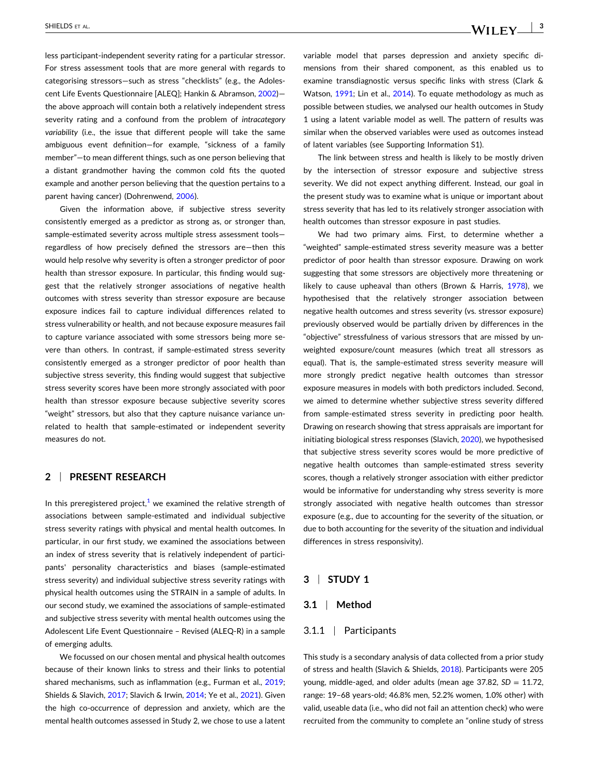less participant‐independent severity rating for a particular stressor. For stress assessment tools that are more general with regards to categorising stressors—such as stress "checklists" (e.g., the Adolescent Life Events Questionnaire [ALEQ]; Hankin & Abramson, [2002](#page-13-0)) the above approach will contain both a relatively independent stress severity rating and a confound from the problem of *intracategory* variability (i.e., the issue that different people will take the same ambiguous event defnition—for example, "sickness of a family member"—to mean different things, such as one person believing that a distant grandmother having the common cold fts the quoted example and another person believing that the question pertains to a parent having cancer) (Dohrenwend, [2006\)](#page-13-0).

Given the information above, if subjective stress severity consistently emerged as a predictor as strong as, or stronger than, sample-estimated severity across multiple stress assessment toolsregardless of how precisely defned the stressors are—then this would help resolve why severity is often a stronger predictor of poor health than stressor exposure. In particular, this fnding would suggest that the relatively stronger associations of negative health outcomes with stress severity than stressor exposure are because exposure indices fail to capture individual differences related to stress vulnerability or health, and not because exposure measures fail to capture variance associated with some stressors being more severe than others. In contrast, if sample‐estimated stress severity consistently emerged as a stronger predictor of poor health than subjective stress severity, this fnding would suggest that subjective stress severity scores have been more strongly associated with poor health than stressor exposure because subjective severity scores "weight" stressors, but also that they capture nuisance variance unrelated to health that sample‐estimated or independent severity measures do not.

# **2** | **PRESENT RESEARCH**

In this preregistered project, $1$  we examined the relative strength of associations between sample‐estimated and individual subjective stress severity ratings with physical and mental health outcomes. In particular, in our frst study, we examined the associations between an index of stress severity that is relatively independent of participants' personality characteristics and biases (sample‐estimated stress severity) and individual subjective stress severity ratings with physical health outcomes using the STRAIN in a sample of adults. In our second study, we examined the associations of sample‐estimated and subjective stress severity with mental health outcomes using the Adolescent Life Event Questionnaire – Revised (ALEQ‐R) in a sample of emerging adults.

We focussed on our chosen mental and physical health outcomes because of their known links to stress and their links to potential shared mechanisms, such as inflammation (e.g., Furman et al., [2019](#page-13-0); Shields & Slavich, [2017](#page-14-0); Slavich & Irwin, [2014;](#page-15-0) Ye et al., [2021\)](#page-15-0). Given the high co‐occurrence of depression and anxiety, which are the mental health outcomes assessed in Study 2, we chose to use a latent

variable model that parses depression and anxiety specifc dimensions from their shared component, as this enabled us to examine transdiagnostic versus specifc links with stress (Clark & Watson, [1991](#page-13-0); Lin et al., [2014\)](#page-14-0). To equate methodology as much as possible between studies, we analysed our health outcomes in Study 1 using a latent variable model as well. The pattern of results was similar when the observed variables were used as outcomes instead of latent variables (see Supporting Information S1).

The link between stress and health is likely to be mostly driven by the intersection of stressor exposure and subjective stress severity. We did not expect anything different. Instead, our goal in the present study was to examine what is unique or important about stress severity that has led to its relatively stronger association with health outcomes than stressor exposure in past studies.

We had two primary aims. First, to determine whether a "weighted" sample‐estimated stress severity measure was a better predictor of poor health than stressor exposure. Drawing on work suggesting that some stressors are objectively more threatening or likely to cause upheaval than others (Brown & Harris, [1978](#page-13-0)), we hypothesised that the relatively stronger association between negative health outcomes and stress severity (vs. stressor exposure) previously observed would be partially driven by differences in the "objective" stressfulness of various stressors that are missed by unweighted exposure/count measures (which treat all stressors as equal). That is, the sample‐estimated stress severity measure will more strongly predict negative health outcomes than stressor exposure measures in models with both predictors included. Second, we aimed to determine whether subjective stress severity differed from sample-estimated stress severity in predicting poor health. Drawing on research showing that stress appraisals are important for initiating biological stress responses (Slavich, [2020\)](#page-14-0), we hypothesised that subjective stress severity scores would be more predictive of negative health outcomes than sample‐estimated stress severity scores, though a relatively stronger association with either predictor would be informative for understanding why stress severity is more strongly associated with negative health outcomes than stressor exposure (e.g., due to accounting for the severity of the situation, or due to both accounting for the severity of the situation and individual differences in stress responsivity).

# **3** <sup>|</sup> **S UDY 1**

#### **3.1** <sup>|</sup> **Method**

#### 3.1.1 <sup>|</sup> Participants

This study is a secondary analysis of data collected from a prior study of stress and health (Slavich & Shields, [2018](#page-15-0)). Participants were 205 young, middle-aged, and older adults (mean age 37.82, SD = 11.72, range: 19-68 years-old; 46.8% men, 52.2% women, 1.0% other) with valid, useable data (i.e., who did not fail an attention check) who were recruited from the community to complete an "online study of stress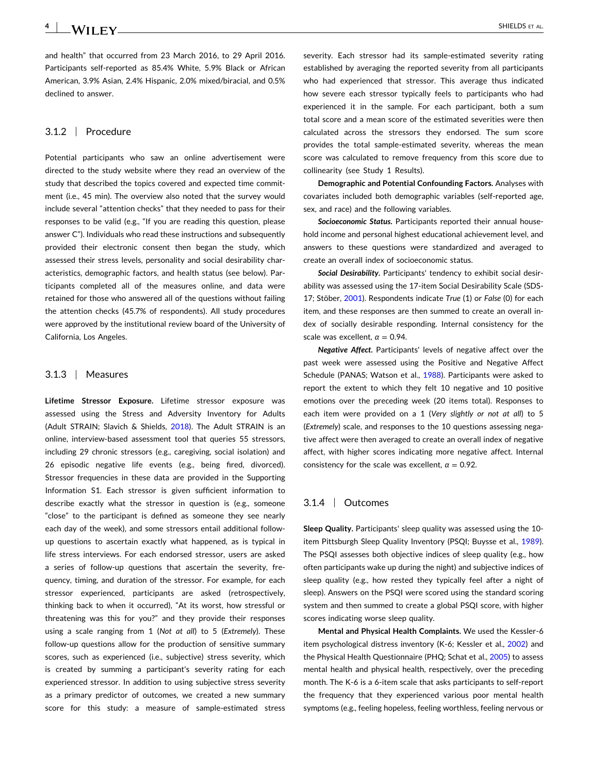and health" that occurred from 23 March 2016, to 29 April 2016. Participants self‐reported as 85.4% White, 5.9% Black or African American, 3.9% Asian, 2.4% Hispanic, 2.0% mixed/biracial, and 0.5% declined to answer.

# 3.1.2 <sup>|</sup> Procedure

Potential participants who saw an online advertisement were directed to the study website where they read an overview of the study that described the topics covered and expected time commitment (i.e., 45 min). The overview also noted that the survey would include several "attention checks" that they needed to pass for their responses to be valid (e.g., "If you are reading this question, please answer C"). Individuals who read these instructions and subsequently provided their electronic consent then began the study, which assessed their stress levels, personality and social desirability characteristics, demographic factors, and health status (see below). Participants completed all of the measures online, and data were retained for those who answered all of the questions without failing the attention checks (45.7% of respondents). All study procedures were approved by the institutional review board of the University of California, Los Angeles.

# 3.1.3 <sup>|</sup> Measures

**Lifetime Stressor Exposure.** Lifetime stressor exposure was assessed using the Stress and Adversity Inventory for Adults (Adult STRAIN; Slavich & Shields, [2018](#page-15-0)). The Adult STRAIN is an online, interview‐based assessment tool that queries 55 stressors, including 29 chronic stressors (e.g., caregiving, social isolation) and 26 episodic negative life events (e.g., being fred, divorced). Stressor frequencies in these data are provided in the Supporting Information S1. Each stressor is given suffcient information to describe exactly what the stressor in question is (e.g., someone "close" to the participant is defned as someone they see nearly each day of the week), and some stressors entail additional follow‐ up questions to ascertain exactly what happened, as is typical in life stress interviews. For each endorsed stressor, users are asked a series of follow-up questions that ascertain the severity, frequency, timing, and duration of the stressor. For example, for each stressor experienced, participants are asked (retrospectively, thinking back to when it occurred), "At its worst, how stressful or threatening was this for you?" and they provide their responses using a scale ranging from 1 (*Not at all*) to 5 (*Extremely*). These follow-up questions allow for the production of sensitive summary scores, such as experienced (i.e., subjective) stress severity, which is created by summing a participant's severity rating for each experienced stressor. In addition to using subjective stress severity as a primary predictor of outcomes, we created a new summary score for this study: a measure of sample-estimated stress

severity. Each stressor had its sample-estimated severity rating established by averaging the reported severity from all participants who had experienced that stressor. This average thus indicated how severe each stressor typically feels to participants who had experienced it in the sample. For each participant, both a sum total score and a mean score of the estimated severities were then calculated across the stressors they endorsed. The sum score provides the total sample-estimated severity, whereas the mean score was calculated to remove frequency from this score due to collinearity (see Study 1 Results).

**Demographic and Potential Confounding Factors.** Analyses with covariates included both demographic variables (self‐reported age, sex, and race) and the following variables.

**Socioeconomic Status.** Participants reported their annual household income and personal highest educational achievement level, and answers to these questions were standardized and averaged to create an overall index of socioeconomic status.

*Social Desirability***.** Participants' tendency to exhibit social desirability was assessed using the 17‐item Social Desirability Scale (SDS‐ 17; Stöber, [2001](#page-15-0)). Respondents indicate *True* (1) or *False* (0) for each item, and these responses are then summed to create an overall index of socially desirable responding. Internal consistency for the scale was excellent,  $\alpha = 0.94$ .

*Negative Affect***.** Participants' levels of negative affect over the past week were assessed using the Positive and Negative Affect Schedule (PANAS; Watson et al., [1988](#page-15-0)). Participants were asked to report the extent to which they felt 10 negative and 10 positive emotions over the preceding week (20 items total). Responses to each item were provided on a 1 (Very slightly or not at all) to 5 (*Extremely*) scale, and responses to the 10 questions assessing negative affect were then averaged to create an overall index of negative affect, with higher scores indicating more negative affect. Internal consistency for the scale was excellent,  $\alpha = 0.92$ .

## 3.1.4 <sup>|</sup> Outcomes

**Sleep Quality.** Participants' sleep quality was assessed using the 10‐ item Pittsburgh Sleep Quality Inventory (PSQI; Buysse et al., [1989\)](#page-13-0). The PSQI assesses both objective indices of sleep quality (e.g., how often participants wake up during the night) and subjective indices of sleep quality (e.g., how rested they typically feel after a night of sleep). Answers on the PSQI were scored using the standard scoring system and then summed to create a global PSQI score, with higher scores indicating worse sleep quality.

**Mental and Physical Health Complaints.** We used the Kessler‐6 item psychological distress inventory (K‐6; Kessler et al., [2002](#page-14-0)) and the Physical Health Questionnaire (PHQ; Schat et al., [2005\)](#page-14-0) to assess mental health and physical health, respectively, over the preceding month. The K‐6 is a 6‐item scale that asks participants to self‐report the frequency that they experienced various poor mental health symptoms (e.g., feeling hopeless, feeling worthless, feeling nervous or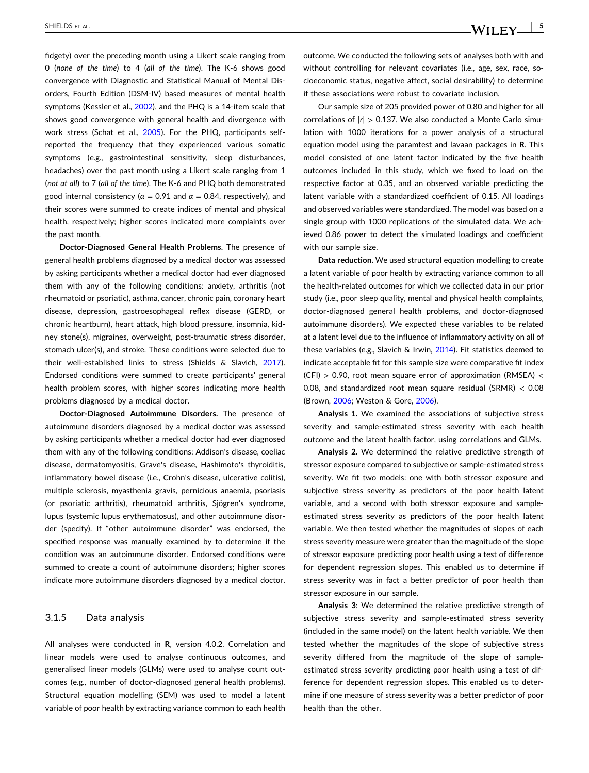fdgety) over the preceding month using a Likert scale ranging from 0 (*none of the time*) to 4 ( *ll of the time*). The K‐6 shows good convergence with Diagnostic and Statistical Manual of Mental Disorders, Fourth Edition (DSM‐IV) based measures of mental health symptoms (Kessler et al., [2002](#page-14-0)), and the PHQ is a 14-item scale that shows good convergence with general health and divergence with work stress (Schat et al., [2005\)](#page-14-0). For the PHQ, participants self‐ reported the frequency that they experienced various somatic symptoms (e.g., gastrointestinal sensitivity, sleep disturbances, headaches) over the past month using a Likert scale ranging from 1 (not at all) to 7 (all of the time). The K-6 and PHQ both demonstrated good internal consistency ( $\alpha$  = 0.91 and  $\alpha$  = 0.84, respectively), and their scores were summed to create indices of mental and physical health, respectively; higher scores indicated more complaints over the past month.

**Doctor‐Diagnosed General Health Problems.** The presence of general health problems diagnosed by a medical doctor was assessed by asking participants whether a medical doctor had ever diagnosed them with any of the following conditions: anxiety, arthritis (not rheumatoid or psoriatic), asthma, cancer, chronic pain, coronary heart disease, depression, gastroesophageal refex disease (GERD, or chronic heartburn), heart attack, high blood pressure, insomnia, kidney stone(s), migraines, overweight, post‐traumatic stress disorder, stomach ulcer(s), and stroke. These conditions were selected due to their well-established links to stress (Shields & Slavich, [2017](#page-14-0)). Endorsed conditions were summed to create participants' general health problem scores, with higher scores indicating more health problems diagnosed by a medical doctor.

**Doctor‐Diagnosed Autoimmune Disorders.** The presence of autoimmune disorders diagnosed by a medical doctor was assessed by asking participants whether a medical doctor had ever diagnosed them with any of the following conditions: Addison's disease, coeliac disease, dermatomyositis, Grave's disease, Hashimoto's thyroiditis, infammatory bowel disease (i.e., Crohn's disease, ulcerative colitis), multiple sclerosis, myasthenia gravis, pernicious anaemia, psoriasis (or psoriatic arthritis), rheumatoid arthritis, Sjögren's syndrome, lupus (systemic lupus erythematosus), and other autoimmune disorder (specify). If "other autoimmune disorder" was endorsed, the specifed response was manually examined by to determine if the condition was an autoimmune disorder. Endorsed conditions were summed to create a count of autoimmune disorders; higher scores indicate more autoimmune disorders diagnosed by a medical doctor.

## 3.1.5 <sup>|</sup> Data analysis

All analyses were conducted in **R**, version 4.0.2. Correlation and linear models were used to analyse continuous outcomes, and generalised linear models (GLMs) were used to analyse count outcomes (e.g., number of doctor‐diagnosed general health problems). Structural equation modelling (SEM) was used to model a latent variable of poor health by extracting variance common to each health

outcome. We conducted the following sets of analyses both with and without controlling for relevant covariates (i.e., age, sex, race, socioeconomic status, negative affect, social desirability) to determine if these associations were robust to covariate inclusion.

Our sample size of 205 provided power of 0.80 and higher for all correlations of  $|r| > 0.137$ . We also conducted a Monte Carlo simulation with 1000 iterations for a power analysis of a structural equation model using the paramtest and lavaan packages in **R**. This model consisted of one latent factor indicated by the fve health outcomes included in this study, which we fxed to load on the respective factor at 0.35, and an observed variable predicting the latent variable with a standardized coeffcient of 0.15. All loadings and observed variables were standardized. The model was based on a single group with 1000 replications of the simulated data. We achieved 0.86 power to detect the simulated loadings and coeffcient with our sample size.

**Data reduction.** We used structural equation modelling to create a latent variable of poor health by extracting variance common to all the health‐related outcomes for which we collected data in our prior study (i.e., poor sleep quality, mental and physical health complaints, doctor‐diagnosed general health problems, and doctor‐diagnosed autoimmune disorders). We expected these variables to be related at a latent level due to the infuence of infammatory activity on all of these variables (e.g., Slavich & Irwin, [2014](#page-15-0)). Fit statistics deemed to indicate acceptable ft for this sample size were comparative ft index  $(CFI) > 0.90$ , root mean square error of approximation (RMSEA) < 0.08, and standardized root mean square residual (SRMR) < 0.08 (Brown, [2006](#page-13-0); Weston & Gore, [2006](#page-15-0)).

**Analysis 1.** We examined the associations of subjective stress severity and sample‐estimated stress severity with each health outcome and the latent health factor, using correlations and GLMs.

**Analysis 2.** We determined the relative predictive strength of stressor exposure compared to subjective or sample‐estimated stress severity. We fit two models: one with both stressor exposure and subjective stress severity as predictors of the poor health latent variable, and a second with both stressor exposure and sample‐ estimated stress severity as predictors of the poor health latent variable. We then tested whether the magnitudes of slopes of each stress severity measure were greater than the magnitude of the slope of stressor exposure predicting poor health using a test of difference for dependent regression slopes. This enabled us to determine if stress severity was in fact a better predictor of poor health than stressor exposure in our sample.

**Analysis 3** We determined the relative predictive strength of subjective stress severity and sample-estimated stress severity (included in the same model) on the latent health variable. We then tested whether the magnitudes of the slope of subjective stress severity differed from the magnitude of the slope of sample‐ estimated stress severity predicting poor health using a test of difference for dependent regression slopes. This enabled us to determine if one measure of stress severity was a better predictor of poor health than the other.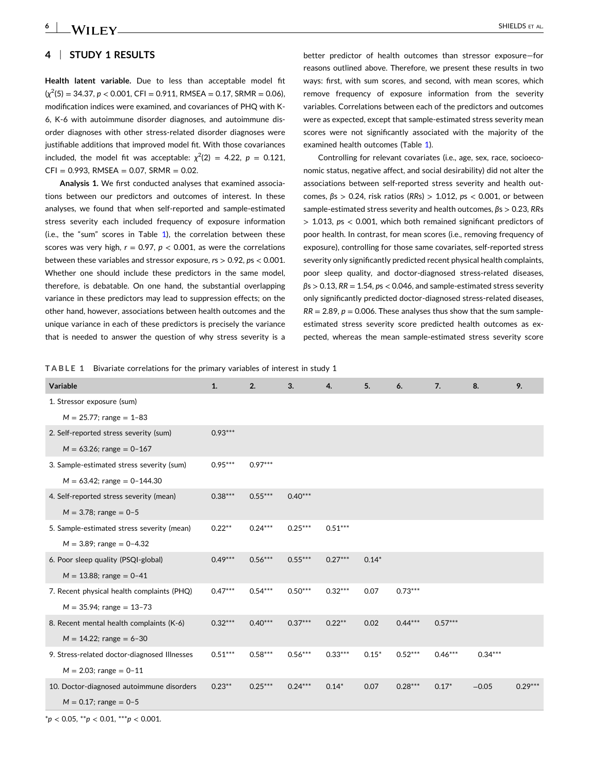# **4** <sup>|</sup> **S UDY 1 RESUL S**

**Health latent variable.** Due to less than acceptable model ft (*χ* 2 (5) = 34.37, *p* < 0.001, CFI = 0.911, RMSEA = 0.17, SRMR = 0.06), modifcation indices were examined, and covariances of PHQ with K‐ 6, K‐6 with autoimmune disorder diagnoses, and autoimmune disorder diagnoses with other stress‐related disorder diagnoses were justifiable additions that improved model fit. With those covariances included, the model fit was acceptable:  $\chi^2(2) = 4.22$ ,  $p = 0.121$ ,  $CFI = 0.993$ , RMSEA = 0.07, SRMR = 0.02.

**Analysis 1.** We frst conducted analyses that examined associations between our predictors and outcomes of interest. In these analyses, we found that when self‐reported and sample‐estimated stress severity each included frequency of exposure information (i.e., the "sum" scores in Table 1), the correlation between these scores was very high,  $r = 0.97$ ,  $p < 0.001$ , as were the correlations between these variables and stressor exposure, *r*s > 0.92, *p*s < 0.001. Whether one should include these predictors in the same model, therefore, is debatable. On one hand, the substantial overlapping variance in these predictors may lead to suppression effects; on the other hand, however, associations between health outcomes and the unique variance in each of these predictors is precisely the variance that is needed to answer the question of why stress severity is a

better predictor of health outcomes than stressor exposure—for reasons outlined above. Therefore, we present these results in two ways: first, with sum scores, and second, with mean scores, which remove frequency of exposure information from the severity variables. Correlations between each of the predictors and outcomes were as expected, except that sample‐estimated stress severity mean scores were not signifcantly associated with the majority of the examined health outcomes (Table 1).

Controlling for relevant covariates (i.e., age, sex, race, socioeconomic status, negative affect, and social desirability) did not alter the associations between self‐reported stress severity and health outcomes, *β*s > 0.24, risk ratios (*RR*s) > 1.012, *p*s < 0.001, or between sample‐estimated stress severity and health outcomes, *β*s > 0.23, *RR*s > 1.013, *p*s < 0.001, which both remained signifcant predictors of poor health. In contrast, for mean scores (i.e., removing frequency of exposure), controlling for those same covariates, self‐reported stress severity only signifcantly predicted recent physical health complaints, poor sleep quality, and doctor-diagnosed stress-related diseases, *β*s > 0.13, *RR* = 1.54, *p*s < 0.046, and sample‐estimated stress severity only signifcantly predicted doctor‐diagnosed stress‐related diseases,  $RR = 2.89$ ,  $p = 0.006$ . These analyses thus show that the sum sampleestimated stress severity score predicted health outcomes as expected, whereas the mean sample‐estimated stress severity score

 **ABLE 1** Bivariate correlations for the primary variables of interest in study 1

| Variable                                     | 1.        | 2.        | 3.        | 4.        | 5.      | 6.        | 7.        | 8.        | 9.        |
|----------------------------------------------|-----------|-----------|-----------|-----------|---------|-----------|-----------|-----------|-----------|
| 1. Stressor exposure (sum)                   |           |           |           |           |         |           |           |           |           |
| $M = 25.77$ ; range = 1-83                   |           |           |           |           |         |           |           |           |           |
| 2. Self-reported stress severity (sum)       | $0.93***$ |           |           |           |         |           |           |           |           |
| $M = 63.26$ ; range = 0-167                  |           |           |           |           |         |           |           |           |           |
| 3. Sample-estimated stress severity (sum)    | $0.95***$ | $0.97***$ |           |           |         |           |           |           |           |
| $M = 63.42$ ; range = 0-144.30               |           |           |           |           |         |           |           |           |           |
| 4. Self-reported stress severity (mean)      | $0.38***$ | $0.55***$ | $0.40***$ |           |         |           |           |           |           |
| $M = 3.78$ ; range = 0-5                     |           |           |           |           |         |           |           |           |           |
| 5. Sample-estimated stress severity (mean)   | $0.22**$  | $0.24***$ | $0.25***$ | $0.51***$ |         |           |           |           |           |
| $M = 3.89$ ; range = 0-4.32                  |           |           |           |           |         |           |           |           |           |
| 6. Poor sleep quality (PSQI-global)          | $0.49***$ | $0.56***$ | $0.55***$ | $0.27***$ | $0.14*$ |           |           |           |           |
| $M = 13.88$ ; range = 0-41                   |           |           |           |           |         |           |           |           |           |
| 7. Recent physical health complaints (PHQ)   | $0.47***$ | $0.54***$ | $0.50***$ | $0.32***$ | 0.07    | $0.73***$ |           |           |           |
| $M = 35.94$ ; range = 13-73                  |           |           |           |           |         |           |           |           |           |
| 8. Recent mental health complaints (K-6)     | $0.32***$ | $0.40***$ | $0.37***$ | $0.22***$ | 0.02    | $0.44***$ | $0.57***$ |           |           |
| $M = 14.22$ ; range = 6-30                   |           |           |           |           |         |           |           |           |           |
| 9. Stress-related doctor-diagnosed Illnesses | $0.51***$ | $0.58***$ | $0.56***$ | $0.33***$ | $0.15*$ | $0.52***$ | $0.46***$ | $0.34***$ |           |
| $M = 2.03$ ; range = 0-11                    |           |           |           |           |         |           |           |           |           |
| 10. Doctor-diagnosed autoimmune disorders    | $0.23**$  | $0.25***$ | $0.24***$ | $0.14*$   | 0.07    | $0.28***$ | $0.17*$   | $-0.05$   | $0.29***$ |
| $M = 0.17$ ; range = 0-5                     |           |           |           |           |         |           |           |           |           |

\**p* < 0.05, \*\**p* < 0.01, \*\*\**p* < 0.001.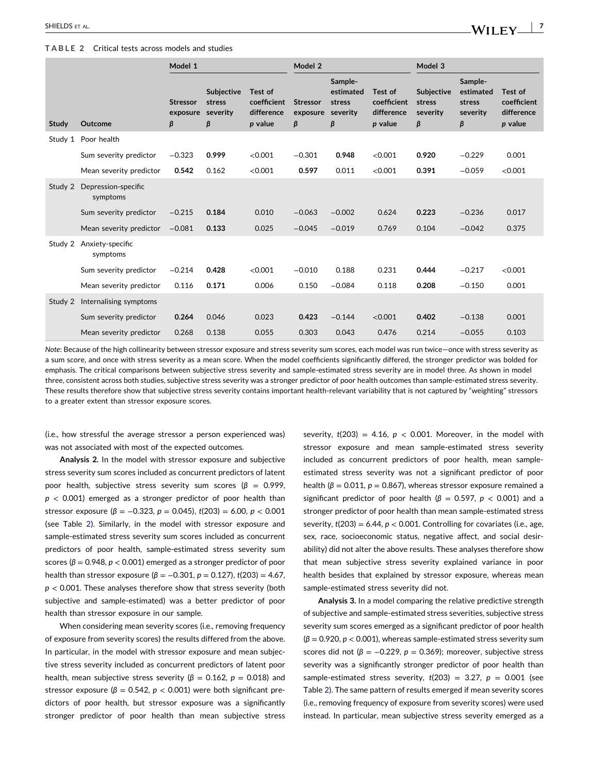#### <span id="page-6-0"></span>**TABLE 2** Critical tests across models and studies

|         |                                 | Model 1                          |                                              |                                                 | Model 2                          |                                                 |                                                 | Model 3                                      |                                                 |                                                 |  |
|---------|---------------------------------|----------------------------------|----------------------------------------------|-------------------------------------------------|----------------------------------|-------------------------------------------------|-------------------------------------------------|----------------------------------------------|-------------------------------------------------|-------------------------------------------------|--|
| Study   | Outcome                         | <b>Stressor</b><br>exposure<br>β | <b>Subjective</b><br>stress<br>severity<br>β | Test of<br>coefficient<br>difference<br>p value | <b>Stressor</b><br>exposure<br>β | Sample-<br>estimated<br>stress<br>severity<br>β | Test of<br>coefficient<br>difference<br>p value | <b>Subjective</b><br>stress<br>severity<br>β | Sample-<br>estimated<br>stress<br>severity<br>β | Test of<br>coefficient<br>difference<br>p value |  |
| Study 1 | Poor health                     |                                  |                                              |                                                 |                                  |                                                 |                                                 |                                              |                                                 |                                                 |  |
|         | Sum severity predictor          | $-0.323$                         | 0.999                                        | < 0.001                                         | $-0.301$                         | 0.948                                           | <0.001                                          | 0.920                                        | $-0.229$                                        | 0.001                                           |  |
|         | Mean severity predictor         | 0.542                            | 0.162                                        | < 0.001                                         | 0.597                            | 0.011                                           | < 0.001                                         | 0.391                                        | $-0.059$                                        | < 0.001                                         |  |
| Study 2 | Depression-specific<br>symptoms |                                  |                                              |                                                 |                                  |                                                 |                                                 |                                              |                                                 |                                                 |  |
|         | Sum severity predictor          | $-0.215$                         | 0.184                                        | 0.010                                           | $-0.063$                         | $-0.002$                                        | 0.624                                           | 0.223                                        | $-0.236$                                        | 0.017                                           |  |
|         | Mean severity predictor         | $-0.081$                         | 0.133                                        | 0.025                                           | $-0.045$                         | $-0.019$                                        | 0.769                                           | 0.104                                        | $-0.042$                                        | 0.375                                           |  |
| Study 2 | Anxiety-specific<br>symptoms    |                                  |                                              |                                                 |                                  |                                                 |                                                 |                                              |                                                 |                                                 |  |
|         | Sum severity predictor          | $-0.214$                         | 0.428                                        | < 0.001                                         | $-0.010$                         | 0.188                                           | 0.231                                           | 0.444                                        | $-0.217$                                        | < 0.001                                         |  |
|         | Mean severity predictor         | 0.116                            | 0.171                                        | 0.006                                           | 0.150                            | $-0.084$                                        | 0.118                                           | 0.208                                        | $-0.150$                                        | 0.001                                           |  |
| Study 2 | Internalising symptoms          |                                  |                                              |                                                 |                                  |                                                 |                                                 |                                              |                                                 |                                                 |  |
|         | Sum severity predictor          | 0.264                            | 0.046                                        | 0.023                                           | 0.423                            | $-0.144$                                        | < 0.001                                         | 0.402                                        | $-0.138$                                        | 0.001                                           |  |
|         | Mean severity predictor         | 0.268                            | 0.138                                        | 0.055                                           | 0.303                            | 0.043                                           | 0.476                                           | 0.214                                        | $-0.055$                                        | 0.103                                           |  |

*Note* Because of the high collinearity between stressor exposure and stress severity sum scores, each model was run twice—once with stress severity as a sum score, and once with stress severity as a mean score. When the model coeffcients signifcantly differed, the stronger predictor was bolded for emphasis. The critical comparisons between subjective stress severity and sample-estimated stress severity are in model three. As shown in model three, consistent across both studies, subjective stress severity was a stronger predictor of poor health outcomes than sample‐estimated stress severity. These results therefore show that subjective stress severity contains important health-relevant variability that is not captured by "weighting" stressors to a greater extent than stressor exposure scores.

(i.e., how stressful the average stressor a person experienced was) was not associated with most of the expected outcomes.

**Analysis 2.** In the model with stressor exposure and subjective stress severity sum scores included as concurrent predictors of latent poor health, subjective stress severity sum scores (*β* = 0.999, *p* < 0.001) emerged as a stronger predictor of poor health than stressor exposure (*β* = −0.323, *p* = 0.045), *t*(203) = 6.00, *p* < 0.001 (see Table 2). Similarly, in the model with stressor exposure and sample‐estimated stress severity sum scores included as concurrent predictors of poor health, sample-estimated stress severity sum scores (*β* = 0.948, *p* < 0.001) emerged as a stronger predictor of poor health than stressor exposure ( $β = -0.301$ ,  $p = 0.127$ ),  $t(203) = 4.67$ , *p* < 0.001. These analyses therefore show that stress severity (both subjective and sample‐estimated) was a better predictor of poor health than stressor exposure in our sample.

When considering mean severity scores (i.e., removing frequency of exposure from severity scores) the results differed from the above. In particular, in the model with stressor exposure and mean subjective stress severity included as concurrent predictors of latent poor health, mean subjective stress severity ( $β = 0.162$ ,  $p = 0.018$ ) and stressor exposure ( $\beta$  = 0.542,  $p$  < 0.001) were both significant predictors of poor health, but stressor exposure was a signifcantly stronger predictor of poor health than mean subjective stress severity,  $t(203) = 4.16$ ,  $p < 0.001$ . Moreover, in the model with stressor exposure and mean sample‐estimated stress severity included as concurrent predictors of poor health, mean sample‐ estimated stress severity was not a signifcant predictor of poor health ( $β = 0.011$ ,  $p = 0.867$ ), whereas stressor exposure remained a significant predictor of poor health ( $\beta$  = 0.597,  $p$  < 0.001) and a stronger predictor of poor health than mean sample‐estimated stress severity,  $t(203) = 6.44$ ,  $p < 0.001$ . Controlling for covariates (i.e., age, sex, race, socioeconomic status, negative affect, and social desirability) did not alter the above results. These analyses therefore show that mean subjective stress severity explained variance in poor health besides that explained by stressor exposure, whereas mean sample‐estimated stress severity did not.

**Analysis 3.** In a model comparing the relative predictive strength of subjective and sample‐estimated stress severities, subjective stress severity sum scores emerged as a signifcant predictor of poor health (*β* = 0.920, *p* < 0.001), whereas sample‐estimated stress severity sum scores did not ( $\beta$  = -0.229,  $p$  = 0.369); moreover, subjective stress severity was a signifcantly stronger predictor of poor health than sample-estimated stress severity,  $t(203) = 3.27$ ,  $p = 0.001$  (see Table 2). The same pattern of results emerged if mean severity scores (i.e., removing frequency of exposure from severity scores) were used instead. In particular, mean subjective stress severity emerged as a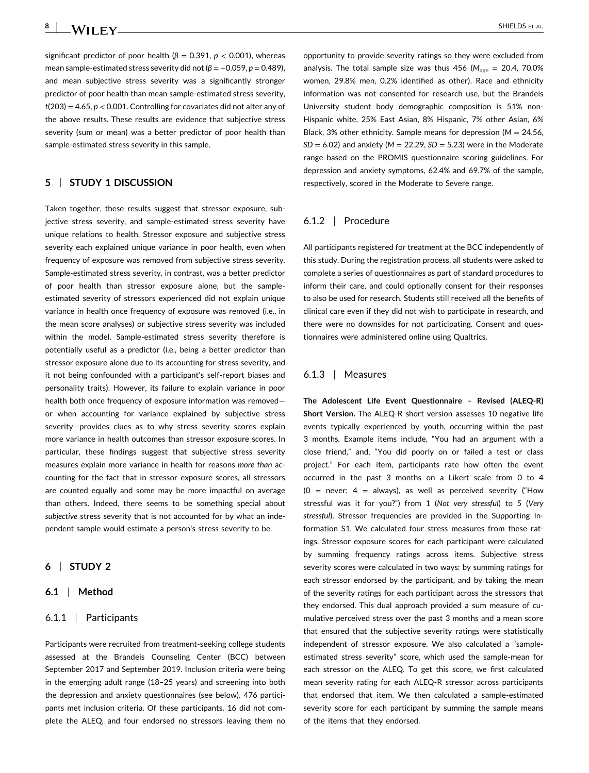**8** - SHIELDS ET AL.

significant predictor of poor health ( $\beta$  = 0.391,  $p$  < 0.001), whereas mean sample-estimated stress severity did not (*β* = −0.059, *p* = 0.489), and mean subjective stress severity was a signifcantly stronger predictor of poor health than mean sample‐estimated stress severity, *t*(203) = 4.65, *p* < 0.001. Controlling for covariates did not alter any of the above results. These results are evidence that subjective stress severity (sum or mean) was a better predictor of poor health than sample‐estimated stress severity in this sample.

# **5** <sup>|</sup> **S UDY 1 DISCUSSION**

Taken together, these results suggest that stressor exposure, subjective stress severity, and sample‐estimated stress severity have unique relations to health. Stressor exposure and subjective stress severity each explained unique variance in poor health, even when frequency of exposure was removed from subjective stress severity. Sample‐estimated stress severity, in contrast, was a better predictor of poor health than stressor exposure alone, but the sample‐ estimated severity of stressors experienced did not explain unique variance in health once frequency of exposure was removed (i.e., in the mean score analyses) or subjective stress severity was included within the model. Sample‐estimated stress severity therefore is potentially useful as a predictor (i.e., being a better predictor than stressor exposure alone due to its accounting for stress severity, and it not being confounded with a participant's self‐report biases and personality traits). However, its failure to explain variance in poor health both once frequency of exposure information was removed or when accounting for variance explained by subjective stress severity—provides clues as to why stress severity scores explain more variance in health outcomes than stressor exposure scores. In particular, these fndings suggest that subjective stress severity measures explain more variance in health for reasons more than accounting for the fact that in stressor exposure scores, all stressors are counted equally and some may be more impactful on average than others. Indeed, there seems to be something special about *subjective* stress severity that is not accounted for by what an independent sample would estimate a person's stress severity to be.

# **6** <sup>|</sup> **S UDY 2**

# **6.1** <sup>|</sup> **Method**

## 6.1.1 <sup>|</sup> Participants

Participants were recruited from treatment‐seeking college students assessed at the Brandeis Counseling Center (BCC) between September 2017 and September 2019. Inclusion criteria were being in the emerging adult range (18–25 years) and screening into both the depression and anxiety questionnaires (see below). 476 participants met inclusion criteria. Of these participants, 16 did not complete the ALEQ, and four endorsed no stressors leaving them no

opportunity to provide severity ratings so they were excluded from analysis. The total sample size was thus 456 (M<sub>age</sub> = 20.4, 70.0% women, 29.8% men, 0.2% identifed as other). Race and ethnicity information was not consented for research use, but the Brandeis University student body demographic composition is 51% non‐ Hispanic white, 25% East Asian, 8% Hispanic, 7% other Asian, 6% Black, 3% other ethnicity. Sample means for depression (*M* = 24.56, *SD* = 6.02) and anxiety (*M* = 22.29, *SD* = 5.23) were in the Moderate range based on the PROMIS questionnaire scoring guidelines. For depression and anxiety symptoms, 62.4% and 69.7% of the sample, respectively, scored in the Moderate to Severe range.

# 6.1.2 <sup>|</sup> Procedure

All participants registered for treatment at the BCC independently of this study. During the registration process, all students were asked to complete a series of questionnaires as part of standard procedures to inform their care, and could optionally consent for their responses to also be used for research. Students still received all the benefts of clinical care even if they did not wish to participate in research, and there were no downsides for not participating. Consent and questionnaires were administered online using Qualtrics.

## 6.1.3 <sup>|</sup> Measures

 **he Adolescent Life Event Questionnaire – Revised (ALEQ‐R) Short Version.** The ALEQ‐R short version assesses 10 negative life events typically experienced by youth, occurring within the past 3 months. Example items include, "You had an argument with a close friend," and, "You did poorly on or failed a test or class project." For each item, participants rate how often the event occurred in the past 3 months on a Likert scale from 0 to 4 (0 = never; 4 = always), as well as perceived severity ("How stressful was it for you?") from 1 (*Not very stressful*) to 5 (*Very stressful*). Stressor frequencies are provided in the Supporting Information S1. We calculated four stress measures from these ratings. Stressor exposure scores for each participant were calculated by summing frequency ratings across items. Subjective stress severity scores were calculated in two ways: by summing ratings for each stressor endorsed by the participant, and by taking the mean of the severity ratings for each participant across the stressors that they endorsed. This dual approach provided a sum measure of cumulative perceived stress over the past 3 months and a mean score that ensured that the subjective severity ratings were statistically independent of stressor exposure. We also calculated a "sample‐ estimated stress severity" score, which used the sample‐mean for each stressor on the ALEQ. To get this score, we frst calculated mean severity rating for each ALEQ‐R stressor across participants that endorsed that item. We then calculated a sample‐estimated severity score for each participant by summing the sample means of the items that they endorsed.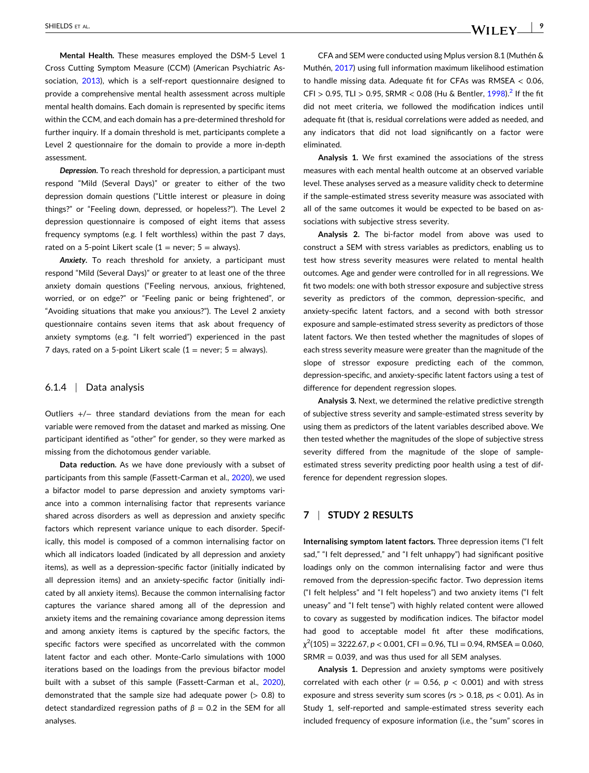**Mental Health.** These measures employed the DSM‐5 Level 1 Cross Cutting Symptom Measure (CCM) (American Psychiatric As-sociation, [2013](#page-13-0)), which is a self-report questionnaire designed to provide a comprehensive mental health assessment across multiple mental health domains. Each domain is represented by specifc items within the CCM, and each domain has a pre‐determined threshold for further inquiry. If a domain threshold is met, participants complete a Level 2 questionnaire for the domain to provide a more in‐depth assessment.

*Depression***.** To reach threshold for depression, a participant must respond "Mild (Several Days)" or greater to either of the two depression domain questions ("Little interest or pleasure in doing things?" or "Feeling down, depressed, or hopeless?"). The Level 2 depression questionnaire is composed of eight items that assess frequency symptoms (e.g. I felt worthless) within the past 7 days, rated on a 5-point Likert scale ( $1 =$  never;  $5 =$  always).

*Anxiety***.** To reach threshold for anxiety, a participant must respond "Mild (Several Days)" or greater to at least one of the three anxiety domain questions ("Feeling nervous, anxious, frightened, worried, or on edge?" or "Feeling panic or being frightened", or "Avoiding situations that make you anxious?"). The Level 2 anxiety questionnaire contains seven items that ask about frequency of anxiety symptoms (e.g. "I felt worried") experienced in the past 7 days, rated on a 5-point Likert scale  $(1 =$  never; 5 = always).

## 6.1.4 <sup>|</sup> Data analysis

Outliers +/− three standard deviations from the mean for each variable were removed from the dataset and marked as missing. One participant identifed as "other" for gender, so they were marked as missing from the dichotomous gender variable.

**Data reduction.** As we have done previously with a subset of participants from this sample (Fassett-Carman et al., [2020\)](#page-13-0), we used a bifactor model to parse depression and anxiety symptoms variance into a common internalising factor that represents variance shared across disorders as well as depression and anxiety specifc factors which represent variance unique to each disorder. Specifically, this model is composed of a common internalising factor on which all indicators loaded (indicated by all depression and anxiety items), as well as a depression‐specifc factor (initially indicated by all depression items) and an anxiety‐specifc factor (initially indicated by all anxiety items). Because the common internalising factor captures the variance shared among all of the depression and anxiety items and the remaining covariance among depression items and among anxiety items is captured by the specifc factors, the specifc factors were specifed as uncorrelated with the common latent factor and each other. Monte‐Carlo simulations with 1000 iterations based on the loadings from the previous bifactor model built with a subset of this sample (Fassett-Carman et al., [2020](#page-13-0)), demonstrated that the sample size had adequate power  $(> 0.8)$  to detect standardized regression paths of  $β = 0.2$  in the SEM for all analyses.

CFA and SEM were conducted using Mplus version 8.1 (Muthén & Muthén, [2017](#page-14-0)) using full information maximum likelihood estimation to handle missing data. Adequate fit for CFAs was RMSEA  $<$  0.06, CFI > 0.95, TLI > 0.95, SRMR < 0.08 (Hu & Bentler,  $1998$ ).<sup>2</sup> If the fit did not meet criteria, we followed the modifcation indices until adequate ft (that is, residual correlations were added as needed, and any indicators that did not load signifcantly on a factor were eliminated.

**Analysis 1.** We frst examined the associations of the stress measures with each mental health outcome at an observed variable level. These analyses served as a measure validity check to determine if the sample‐estimated stress severity measure was associated with all of the same outcomes it would be expected to be based on associations with subjective stress severity.

**Analysis 2.** The bi‐factor model from above was used to construct a SEM with stress variables as predictors, enabling us to test how stress severity measures were related to mental health outcomes. Age and gender were controlled for in all regressions. We fit two models: one with both stressor exposure and subjective stress severity as predictors of the common, depression-specific, and anxiety‐specifc latent factors, and a second with both stressor exposure and sample‐estimated stress severity as predictors of those latent factors. We then tested whether the magnitudes of slopes of each stress severity measure were greater than the magnitude of the slope of stressor exposure predicting each of the common, depression‐specifc, and anxiety‐specifc latent factors using a test of difference for dependent regression slopes.

**Analysis 3.** Next, we determined the relative predictive strength of subjective stress severity and sample‐estimated stress severity by using them as predictors of the latent variables described above. We then tested whether the magnitudes of the slope of subjective stress severity differed from the magnitude of the slope of sample‐ estimated stress severity predicting poor health using a test of difference for dependent regression slopes.

# **7** <sup>|</sup> **S UDY 2 RESUL S**

**Internalising symptom latent factors.** Three depression items ("I felt sad," "I felt depressed," and "I felt unhappy") had signifcant positive loadings only on the common internalising factor and were thus removed from the depression‐specifc factor. Two depression items ("I felt helpless" and "I felt hopeless") and two anxiety items ("I felt uneasy" and "I felt tense") with highly related content were allowed to covary as suggested by modifcation indices. The bifactor model had good to acceptable model fit after these modifications, *χ* 2 (105) = 3222.67, *p* < 0.001, CFI = 0.96, TLI = 0.94, RMSEA = 0.060,  $SRMR = 0.039$ , and was thus used for all SEM analyses.

**Analysis 1.** Depression and anxiety symptoms were positively correlated with each other ( $r = 0.56$ ,  $p < 0.001$ ) and with stress exposure and stress severity sum scores (*r*s > 0.18, *p*s < 0.01). As in Study 1, self-reported and sample-estimated stress severity each included frequency of exposure information (i.e., the "sum" scores in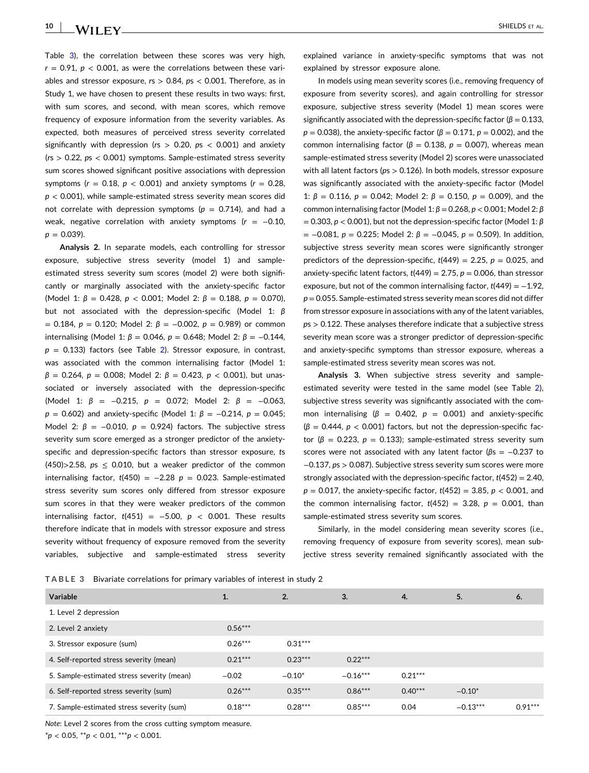Table 3), the correlation between these scores was very high,  $r = 0.91$ ,  $p < 0.001$ , as were the correlations between these variables and stressor exposure, *r*s > 0.84, *p*s < 0.001. Therefore, as in Study 1, we have chosen to present these results in two ways: first, with sum scores, and second, with mean scores, which remove frequency of exposure information from the severity variables. As expected, both measures of perceived stress severity correlated signifcantly with depression (*r*s > 0.20, *p*s < 0.001) and anxiety (*r*s > 0.22, *p*s < 0.001) symptoms. Sample‐estimated stress severity sum scores showed signifcant positive associations with depression symptoms  $(r = 0.18, p < 0.001)$  and anxiety symptoms  $(r = 0.28,$  $p < 0.001$ ), while sample-estimated stress severity mean scores did not correlate with depression symptoms ( $p = 0.714$ ), and had a weak, negative correlation with anxiety symptoms (*r* = −0.10,  $p = 0.039$ .

**Analysis 2.** In separate models, each controlling for stressor exposure, subjective stress severity (model 1) and sample‐ estimated stress severity sum scores (model 2) were both signifcantly or marginally associated with the anxiety‐specifc factor (Model 1 *β* = 0.428, *p* < 0.001; Model 2 *β* = 0.188, *p* = 0.070), but not associated with the depression-specific (Model 1: β  $= 0.184$ , *p* = 0.120; Model 2: *β* = -0.002, *p* = 0.989) or common internalising (Model 1:  $β = 0.046$ ,  $p = 0.648$ ; Model 2:  $β = -0.144$ ,  $p = 0.133$ ) factors (see Table [2\)](#page-6-0). Stressor exposure, in contrast, was associated with the common internalising factor (Model 1 *β* = 0.264, *p* = 0.008; Model 2 *β* = 0.423, *p* < 0.001), but unassociated or inversely associated with the depression-specific (Model 1: *β* = −0.215, *p* = 0.072; Model 2: *β* = −0.063, *p* = 0.602) and anxiety-specific (Model 1: *β* = −0.214, *p* = 0.045; Model 2:  $β = -0.010$ ,  $p = 0.924$ ) factors. The subjective stress severity sum score emerged as a stronger predictor of the anxietyspecifc and depression‐specifc factors than stressor exposure, *t*s  $(450)$ >2.58,  $ps \le 0.010$ , but a weaker predictor of the common internalising factor,  $t(450) = -2.28$   $p = 0.023$ . Sample-estimated stress severity sum scores only differed from stressor exposure sum scores in that they were weaker predictors of the common internalising factor,  $t(451) = -5.00$ ,  $p < 0.001$ . These results therefore indicate that in models with stressor exposure and stress severity without frequency of exposure removed from the severity variables, subjective and sample‐estimated stress severity

explained variance in anxiety‐specifc symptoms that was not explained by stressor exposure alone.

In models using mean severity scores (i.e., removing frequency of exposure from severity scores), and again controlling for stressor exposure, subjective stress severity (Model 1) mean scores were significantly associated with the depression-specific factor (β = 0.133, *), the anxiety-specific factor (* $β = 0.171$ *,*  $p = 0.002$ *), and the* common internalising factor ( $β = 0.138$ ,  $p = 0.007$ ), whereas mean sample‐estimated stress severity (Model 2) scores were unassociated with all latent factors (*p*s > 0.126). In both models, stressor exposure was significantly associated with the anxiety-specific factor (Model 1: β = 0.116, p = 0.042; Model 2: β = 0.150, p = 0.009), and the common internalising factor (Model 1 *β* = 0.268, *p* < 0.001; Model 2 *β* = 0.303, *p* < 0.001), but not the depression‐specifc factor (Model 1 *β* = −0.081, *p* = 0.225; Model 2 *β* = −0.045, *p* = 0.509). In addition, subjective stress severity mean scores were signifcantly stronger predictors of the depression-specific,  $t(449) = 2.25$ ,  $p = 0.025$ , and anxiety‐specifc latent factors, *t*(449) = 2.75, *p* = 0.006, than stressor exposure, but not of the common internalising factor,  $t(449) = -1.92$ , *p* = 0.055. Sample‐estimated stress severity mean scores did not differ from stressor exposure in associations with any of the latent variables, *p*s > 0.122. These analyses therefore indicate that a subjective stress severity mean score was a stronger predictor of depression-specific and anxiety‐specifc symptoms than stressor exposure, whereas a sample-estimated stress severity mean scores was not.

**Analysis 3.** When subjective stress severity and sample‐ estimated severity were tested in the same model (see Table [2\)](#page-6-0), subjective stress severity was signifcantly associated with the common internalising  $(β = 0.402, p = 0.001)$  and anxiety-specific (*β* = 0.444, *p* < 0.001) factors, but not the depression‐specifc factor ( $β = 0.223$ ,  $p = 0.133$ ); sample-estimated stress severity sum scores were not associated with any latent factor (βs = -0.237 to −0.137, *p*s > 0.087). Subjective stress severity sum scores were more strongly associated with the depression‐specifc factor, *t*(452) = 2.40, *p* = 0.017, the anxiety‐specifc factor, *t*(452) = 3.85, *p* < 0.001, and the common internalising factor,  $t(452) = 3.28$ ,  $p = 0.001$ , than sample‐estimated stress severity sum scores.

Similarly, in the model considering mean severity scores (i.e., removing frequency of exposure from severity scores), mean subjective stress severity remained signifcantly associated with the

| TABLE 3 Bivariate correlations for primary variables of interest in study 2 |  |
|-----------------------------------------------------------------------------|--|
|-----------------------------------------------------------------------------|--|

| Variable                                   | 1.        | 2.        | $\mathbf{3}$ | 4.        | 5.         | 6.        |
|--------------------------------------------|-----------|-----------|--------------|-----------|------------|-----------|
| 1. Level 2 depression                      |           |           |              |           |            |           |
| 2. Level 2 anxiety                         | $0.56***$ |           |              |           |            |           |
| 3. Stressor exposure (sum)                 | $0.26***$ | $0.31***$ |              |           |            |           |
| 4. Self-reported stress severity (mean)    | $0.21***$ | $0.23***$ | $0.22***$    |           |            |           |
| 5. Sample-estimated stress severity (mean) | $-0.02$   | $-0.10*$  | $-0.16***$   | $0.21***$ |            |           |
| 6. Self-reported stress severity (sum)     | $0.26***$ | $0.35***$ | $0.86***$    | $0.40***$ | $-0.10*$   |           |
| 7. Sample-estimated stress severity (sum)  | $0.18***$ | $0.28***$ | $0.85***$    | 0.04      | $-0.13***$ | $0.91***$ |

*Note*: Level 2 scores from the cross cutting symptom measure.

\**p* < 0.05, \*\**p* < 0.01, \*\*\**p* < 0.001.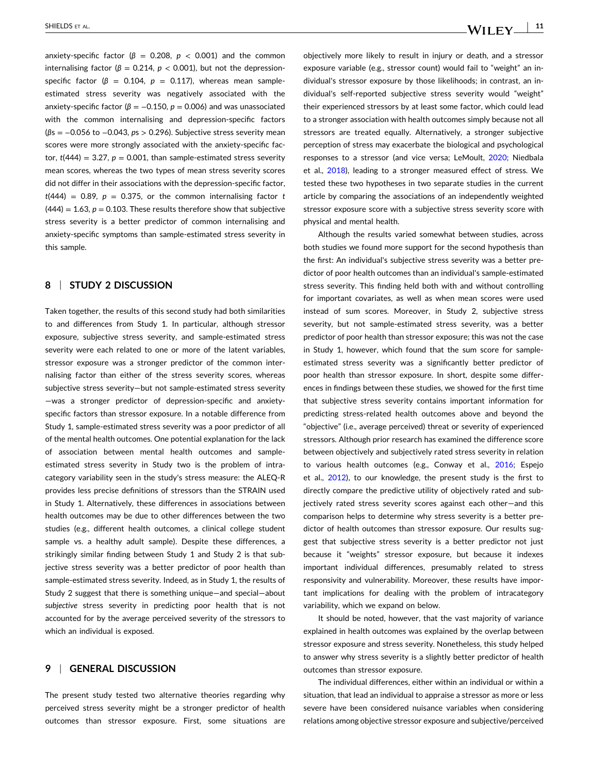anxiety-specific factor ( $\beta$  = 0.208,  $p$  < 0.001) and the common internalising factor ( $β = 0.214$ ,  $p < 0.001$ ), but not the depressionspecific factor ( $\beta$  = 0.104,  $p$  = 0.117), whereas mean sampleestimated stress severity was negatively associated with the anxiety-specific factor ( $\beta = -0.150$ ,  $p = 0.006$ ) and was unassociated with the common internalising and depression‐specifc factors (*β*s = −0.056 to −0.043, *p*s > 0.296). Subjective stress severity mean scores were more strongly associated with the anxiety-specific factor,  $t(444) = 3.27$ ,  $p = 0.001$ , than sample-estimated stress severity mean scores, whereas the two types of mean stress severity scores did not differ in their associations with the depression‐specifc factor,  $t(444) = 0.89$ ,  $p = 0.375$ , or the common internalising factor *t*  $(444) = 1.63$ ,  $p = 0.103$ . These results therefore show that subjective stress severity is a better predictor of common internalising and anxiety‐specifc symptoms than sample‐estimated stress severity in this sample.

## **8** <sup>|</sup> **S UDY 2 DISCUSSION**

Taken together, the results of this second study had both similarities to and differences from Study 1. In particular, although stressor exposure, subjective stress severity, and sample‐estimated stress severity were each related to one or more of the latent variables, stressor exposure was a stronger predictor of the common internalising factor than either of the stress severity scores, whereas subjective stress severity—but not sample-estimated stress severity —was a stronger predictor of depression‐specifc and anxiety‐ specifc factors than stressor exposure. In a notable difference from Study 1, sample‐estimated stress severity was a poor predictor of all of the mental health outcomes. One potential explanation for the lack of association between mental health outcomes and sample‐ estimated stress severity in Study two is the problem of intracategory variability seen in the study's stress measure: the ALEQ-R provides less precise defnitions of stressors than the STRAIN used in Study 1. Alternatively, these differences in associations between health outcomes may be due to other differences between the two studies (e.g., different health outcomes, a clinical college student sample vs. a healthy adult sample). Despite these differences, a strikingly similar fnding between Study 1 and Study 2 is that subjective stress severity was a better predictor of poor health than sample-estimated stress severity. Indeed, as in Study 1, the results of Study 2 suggest that there is something unique—and special—about *subjective* stress severity in predicting poor health that is not accounted for by the average perceived severity of the stressors to which an individual is exposed.

# **9** <sup>|</sup> **GENERAL DISCUSSION**

The present study tested two alternative theories regarding why perceived stress severity might be a stronger predictor of health outcomes than stressor exposure. First, some situations are objectively more likely to result in injury or death, and a stressor exposure variable (e.g., stressor count) would fail to "weight" an individual's stressor exposure by those likelihoods; in contrast, an individual's self‐reported subjective stress severity would "weight" their experienced stressors by at least some factor, which could lead to a stronger association with health outcomes simply because not all stressors are treated equally. Alternatively, a stronger subjective perception of stress may exacerbate the biological and psychological responses to a stressor (and vice versa; LeMoult, [2020;](#page-14-0) Niedbala et al., [2018](#page-14-0)), leading to a stronger measured effect of stress. We tested these two hypotheses in two separate studies in the current article by comparing the associations of an independently weighted stressor exposure score with a subjective stress severity score with physical and mental health.

Although the results varied somewhat between studies, across both studies we found more support for the second hypothesis than the first: An individual's subjective stress severity was a better predictor of poor health outcomes than an individual's sample‐estimated stress severity. This fnding held both with and without controlling for important covariates, as well as when mean scores were used instead of sum scores. Moreover, in Study 2, subjective stress severity, but not sample-estimated stress severity, was a better predictor of poor health than stressor exposure; this was not the case in Study 1, however, which found that the sum score for sample‐ estimated stress severity was a signifcantly better predictor of poor health than stressor exposure. In short, despite some differences in fndings between these studies, we showed for the frst time that subjective stress severity contains important information for predicting stress‐related health outcomes above and beyond the "objective" (i.e., average perceived) threat or severity of experienced stressors. Although prior research has examined the difference score between objectively and subjectively rated stress severity in relation to various health outcomes (e.g., Conway et al., [2016](#page-13-0); Espejo et al., [2012\)](#page-13-0), to our knowledge, the present study is the frst to directly compare the predictive utility of objectively rated and subjectively rated stress severity scores against each other—and this comparison helps to determine why stress severity is a better predictor of health outcomes than stressor exposure. Our results suggest that subjective stress severity is a better predictor not just because it "weights" stressor exposure, but because it indexes important individual differences, presumably related to stress responsivity and vulnerability. Moreover, these results have important implications for dealing with the problem of intracategory variability, which we expand on below.

It should be noted, however, that the vast majority of variance explained in health outcomes was explained by the overlap between stressor exposure and stress severity. Nonetheless, this study helped to answer why stress severity is a slightly better predictor of health outcomes than stressor exposure.

The individual differences, either within an individual or within a situation, that lead an individual to appraise a stressor as more or less severe have been considered nuisance variables when considering relations among objective stressor exposure and subjective/perceived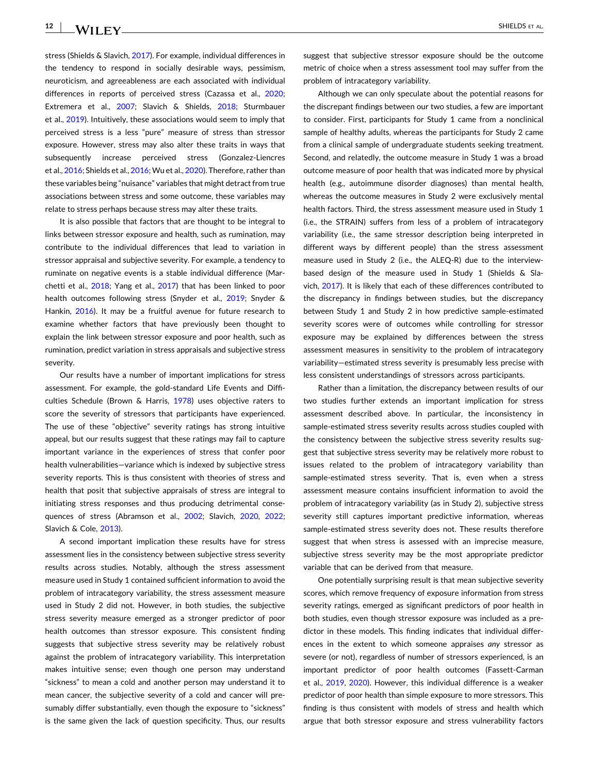stress (Shields & Slavich, [2017\)](#page-14-0). For example, individual differences in the tendency to respond in socially desirable ways, pessimism, neuroticism, and agreeableness are each associated with individual differences in reports of perceived stress (Cazassa et al., [2020](#page-13-0); Extremera et al., [2007](#page-13-0); Slavich & Shields, [2018;](#page-15-0) Sturmbauer et al., [2019](#page-15-0)). Intuitively, these associations would seem to imply that perceived stress is a less "pure" measure of stress than stressor exposure. However, stress may also alter these traits in ways that subsequently increase perceived stress (Gonzalez‐Liencres et al., [2016](#page-13-0); Shields et al., [2016;](#page-14-0) Wu et al., [2020\)](#page-15-0). Therefore, rather than these variables being "nuisance" variables that might detract from true associations between stress and some outcome, these variables may relate to stress perhaps because stress may alter these traits.

It is also possible that factors that are thought to be integral to links between stressor exposure and health, such as rumination, may contribute to the individual differences that lead to variation in stressor appraisal and subjective severity. For example, a tendency to ruminate on negative events is a stable individual difference (Marchetti et al., [2018;](#page-14-0) Yang et al., [2017](#page-15-0)) that has been linked to poor health outcomes following stress (Snyder et al., [2019;](#page-15-0) Snyder & Hankin, [2016\)](#page-15-0). It may be a fruitful avenue for future research to examine whether factors that have previously been thought to explain the link between stressor exposure and poor health, such as rumination, predict variation in stress appraisals and subjective stress severity.

Our results have a number of important implications for stress assessment. For example, the gold‐standard Life Events and Diffculties Schedule (Brown & Harris, [1978\)](#page-13-0) uses objective raters to score the severity of stressors that participants have experienced. The use of these "objective" severity ratings has strong intuitive appeal, but our results suggest that these ratings may fail to capture important variance in the experiences of stress that confer poor health vulnerabilities—variance which is indexed by subjective stress severity reports. This is thus consistent with theories of stress and health that posit that subjective appraisals of stress are integral to initiating stress responses and thus producing detrimental conse-quences of stress (Abramson et al., [2002;](#page-12-0) Slavich, [2020](#page-14-0), [2022](#page-14-0); Slavich & Cole, [2013\)](#page-15-0).

A second important implication these results have for stress assessment lies in the consistency between subjective stress severity results across studies. Notably, although the stress assessment measure used in Study 1 contained suffcient information to avoid the problem of intracategory variability, the stress assessment measure used in Study 2 did not. However, in both studies, the subjective stress severity measure emerged as a stronger predictor of poor health outcomes than stressor exposure. This consistent fnding suggests that subjective stress severity may be relatively robust against the problem of intracategory variability. This interpretation makes intuitive sense; even though one person may understand "sickness" to mean a cold and another person may understand it to mean cancer, the subjective severity of a cold and cancer will presumably differ substantially, even though the exposure to "sickness" is the same given the lack of question specifcity. Thus, our results

suggest that subjective stressor exposure should be the outcome metric of choice when a stress assessment tool may suffer from the problem of intracategory variability.

Although we can only speculate about the potential reasons for the discrepant fndings between our two studies, a few are important to consider. First, participants for Study 1 came from a nonclinical sample of healthy adults, whereas the participants for Study 2 came from a clinical sample of undergraduate students seeking treatment. Second, and relatedly, the outcome measure in Study 1 was a broad outcome measure of poor health that was indicated more by physical health (e.g., autoimmune disorder diagnoses) than mental health, whereas the outcome measures in Study 2 were exclusively mental health factors. Third, the stress assessment measure used in Study 1 (i.e., the STRAIN) suffers from less of a problem of intracategory variability (i.e., the same stressor description being interpreted in different ways by different people) than the stress assessment measure used in Study 2 (i.e., the ALEQ-R) due to the interviewbased design of the measure used in Study 1 (Shields & Slavich, [2017\)](#page-14-0). It is likely that each of these differences contributed to the discrepancy in fndings between studies, but the discrepancy between Study 1 and Study 2 in how predictive sample‐estimated severity scores were of outcomes while controlling for stressor exposure may be explained by differences between the stress assessment measures in sensitivity to the problem of intracategory variability—estimated stress severity is presumably less precise with less consistent understandings of stressors across participants.

Rather than a limitation, the discrepancy between results of our two studies further extends an important implication for stress assessment described above. In particular, the inconsistency in sample‐estimated stress severity results across studies coupled with the consistency between the subjective stress severity results suggest that subjective stress severity may be relatively more robust to issues related to the problem of intracategory variability than sample-estimated stress severity. That is, even when a stress assessment measure contains insuffcient information to avoid the problem of intracategory variability (as in Study 2), subjective stress severity still captures important predictive information, whereas sample-estimated stress severity does not. These results therefore suggest that when stress is assessed with an imprecise measure, subjective stress severity may be the most appropriate predictor variable that can be derived from that measure.

One potentially surprising result is that mean subjective severity scores, which remove frequency of exposure information from stress severity ratings, emerged as signifcant predictors of poor health in both studies, even though stressor exposure was included as a predictor in these models. This fnding indicates that individual differences in the extent to which someone appraises *ny* stressor as severe (or not), regardless of number of stressors experienced, is an important predictor of poor health outcomes (Fassett‐Carman et al., [2019](#page-13-0), [2020\)](#page-13-0). However, this individual difference is a weaker predictor of poor health than simple exposure to more stressors. This fnding is thus consistent with models of stress and health which argue that both stressor exposure and stress vulnerability factors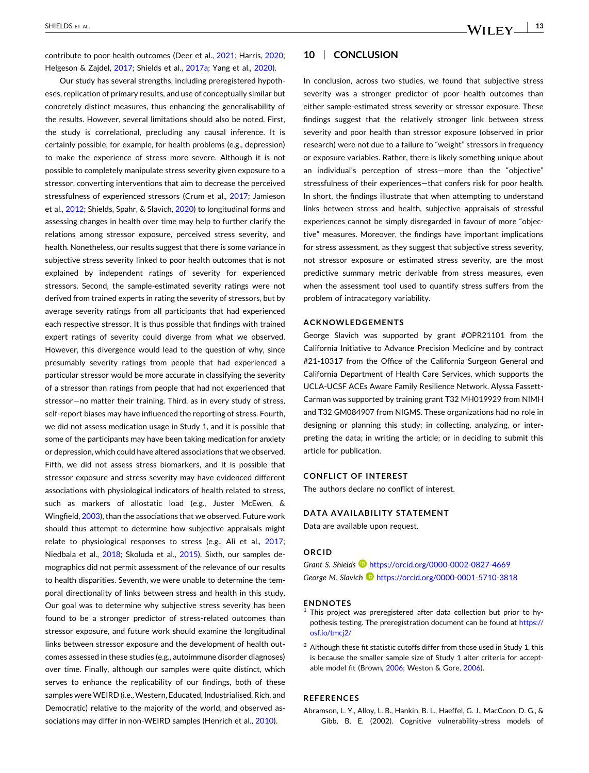<span id="page-12-0"></span>contribute to poor health outcomes (Deer et al., [2021](#page-13-0); Harris, [2020](#page-13-0); Helgeson & Zajdel, [2017;](#page-14-0) Shields et al., [2017a](#page-14-0); Yang et al., [2020\)](#page-15-0).

Our study has several strengths, including preregistered hypotheses, replication of primary results, and use of conceptually similar but concretely distinct measures, thus enhancing the generalisability of the results. However, several limitations should also be noted. First, the study is correlational, precluding any causal inference. It is certainly possible, for example, for health problems (e.g., depression) to make the experience of stress more severe. Although it is not possible to completely manipulate stress severity given exposure to a stressor, converting interventions that aim to decrease the perceived stressfulness of experienced stressors (Crum et al., [2017;](#page-13-0) Jamieson et al., [2012;](#page-14-0) Shields, Spahr, & Slavich, [2020\)](#page-14-0) to longitudinal forms and assessing changes in health over time may help to further clarify the relations among stressor exposure, perceived stress severity, and health. Nonetheless, our results suggest that there is some variance in subjective stress severity linked to poor health outcomes that is not explained by independent ratings of severity for experienced stressors. Second, the sample‐estimated severity ratings were not derived from trained experts in rating the severity of stressors, but by average severity ratings from all participants that had experienced each respective stressor. It is thus possible that fndings with trained expert ratings of severity could diverge from what we observed. However, this divergence would lead to the question of why, since presumably severity ratings from people that had experienced a particular stressor would be more accurate in classifying the severity of a stressor than ratings from people that had not experienced that stressor—no matter their training. Third, as in every study of stress, self-report biases may have influenced the reporting of stress. Fourth, we did not assess medication usage in Study 1, and it is possible that some of the participants may have been taking medication for anxiety or depression, which could have altered associations that we observed. Fifth, we did not assess stress biomarkers, and it is possible that stressor exposure and stress severity may have evidenced different associations with physiological indicators of health related to stress, such as markers of allostatic load (e.g., Juster McEwen, & Wingfeld, [2003](#page-14-0)), than the associations that we observed. Future work should thus attempt to determine how subjective appraisals might relate to physiological responses to stress (e.g., Ali et al., [2017](#page-13-0); Niedbala et al., [2018;](#page-14-0) Skoluda et al., [2015](#page-14-0)). Sixth, our samples demographics did not permit assessment of the relevance of our results to health disparities. Seventh, we were unable to determine the temporal directionality of links between stress and health in this study. Our goal was to determine why subjective stress severity has been found to be a stronger predictor of stress-related outcomes than stressor exposure, and future work should examine the longitudinal links between stressor exposure and the development of health outcomes assessed in these studies (e.g., autoimmune disorder diagnoses) over time. Finally, although our samples were quite distinct, which serves to enhance the replicability of our fndings, both of these samples were WEIRD (i.e., Western, Educated, Industrialised, Rich, and Democratic) relative to the majority of the world, and observed as-sociations may differ in non-WEIRD samples (Henrich et al., [2010\)](#page-14-0).

# **10** <sup>|</sup> **CONCLUSION**

In conclusion, across two studies, we found that subjective stress severity was a stronger predictor of poor health outcomes than either sample‐estimated stress severity or stressor exposure. These fndings suggest that the relatively stronger link between stress severity and poor health than stressor exposure (observed in prior research) were not due to a failure to "weight" stressors in frequency or exposure variables. Rather, there is likely something unique about an individual's perception of stress—more than the "objective" stressfulness of their experiences—that confers risk for poor health. In short, the fndings illustrate that when attempting to understand links between stress and health, subjective appraisals of stressful experiences cannot be simply disregarded in favour of more "objective" measures. Moreover, the fndings have important implications for stress assessment, as they suggest that subjective stress severity, not stressor exposure or estimated stress severity, are the most predictive summary metric derivable from stress measures, even when the assessment tool used to quantify stress suffers from the problem of intracategory variability.

#### **ACKNOWLEDGEMENTS**

George Slavich was supported by grant #OPR21101 from the California Initiative to Advance Precision Medicine and by contract #21-10317 from the Office of the California Surgeon General and California Department of Health Care Services, which supports the UCLA‐UCSF ACEs Aware Family Resilience Network. Alyssa Fassett‐ Carman was supported by training grant T32 MH019929 from NIMH and T32 GM084907 from NIGMS. These organizations had no role in designing or planning this study; in collecting, analyzing, or interpreting the data; in writing the article; or in deciding to submit this article for publication.

#### **CONFLICT OF INTEREST**

The authors declare no confict of interest.

#### **DATA AVAILABILITY STATEMENT**

Data are available upon request.

# **ORCID**

*Gr nt S. Shields* [https //orcid.org/0000-0002-0827-4669](https://orcid.org/0000-0002-0827-4669) *George M. Sl vich* [https //orcid.org/0000-0001-5710-3818](https://orcid.org/0000-0001-5710-3818)

#### **ENDNOTES**

- This project was preregistered after data collection but prior to hypothesis testing. The preregistration document can be found at https:// [osf.io/tmcj2/](https://osf.io/tmcj2/)
- $2$  Although these fit statistic cutoffs differ from those used in Study 1, this is because the smaller sample size of Study 1 alter criteria for acceptable model ft (Brown, [2006;](#page-13-0) Weston & Gore, [2006\)](#page-15-0).

# **REFERENCES**

Abramson, L. Y., Alloy, L. B., Hankin, B. L., Haeffel, G. J., MacCoon, D. G., & Gibb, B. E. (2002). Cognitive vulnerability‐stress models of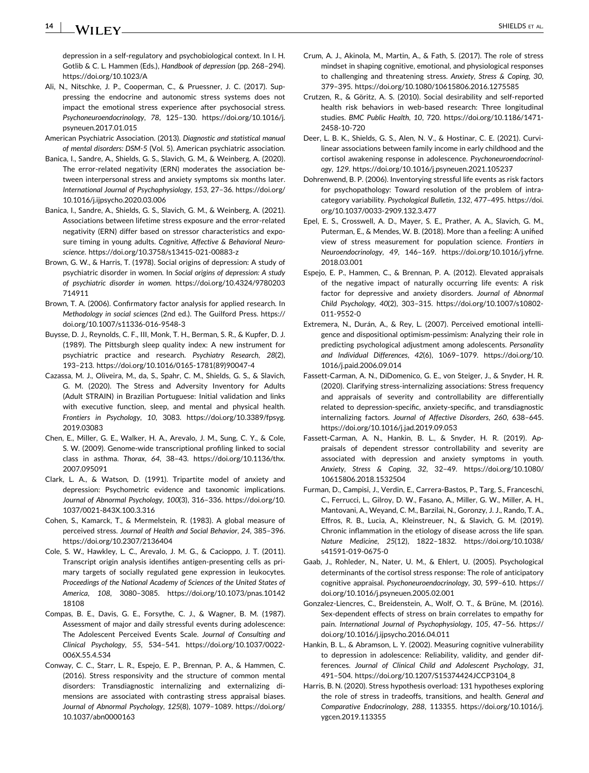<span id="page-13-0"></span>depression in a self‐regulatory and psychobiological context. In I. H. Gotlib & C. L. Hammen (Eds.), *Handbook of depression* (pp. 268-294). https://doi.org/10.1023/A

- Ali, N., Nitschke, J. P., Cooperman, C., & Pruessner, J. C. (2017). Suppressing the endocrine and autonomic stress systems does not impact the emotional stress experience after psychosocial stress. Psychoneuroendocrinology, 78, 125-130. https://doi.org/10.1016/j. [psyneuen.2017.01.015](https://doi.org/10.1016/j.psyneuen.2017.01.015)
- American Psychiatric Association. (2013). Diagnostic and statistical manual *of ment l disorders: DSM‐5* (Vol. 5). American psychiatric association.
- Banica, I., Sandre, A., Shields, G. S., Slavich, G. M., & Weinberg, A. (2020). The error-related negativity (ERN) moderates the association between interpersonal stress and anxiety symptoms six months later. *Intern tion l Journ l of Psychophysiology*, *153*, 27–36. [https //doi.org/](https://doi.org/10.1016/j.ijpsycho.2020.03.006) [10.1016/j.ijpsycho.2020.03.006](https://doi.org/10.1016/j.ijpsycho.2020.03.006)
- Banica, I., Sandre, A., Shields, G. S., Slavich, G. M., & Weinberg, A. (2021). Associations between lifetime stress exposure and the error‐related negativity (ERN) differ based on stressor characteristics and exposure timing in young adults. Cognitive, Affective & Behavioral Neuro*science*. [https //doi.org/10.3758/s13415](https://doi.org/10.3758/s13415-021-00883-z)‐021‐00883‐z
- Brown, G. W., & Harris, T. (1978). Social origins of depression: A study of psychiatric disorder in women. In *Soci l origins of depression: A study of psychi tric disorder in women*. [https //doi.org/10.4324/9780203](https://doi.org/10.4324/9780203714911) [714911](https://doi.org/10.4324/9780203714911)
- Brown, T. A. (2006). Confrmatory factor analysis for applied research. In *Methodology* in *social sciences* (2nd ed.). The Guilford Press. https:// [doi.org/10.1007/s11336](https://doi.org/10.1007/s11336-016-9548-3)‐016‐9548‐3
- Buysse, D. J., Reynolds, C. F., III, Monk, T. H., Berman, S. R., & Kupfer, D. J. (1989). The Pittsburgh sleep quality index: A new instrument for psychiatric practice and research. Psychiatry Research, 28(2), 193–213. [https //doi.org/10.1016/0165](https://doi.org/10.1016/0165-1781(89)90047-4)‐1781(89)90047‐4
- Cazassa, M. J., Oliveira, M., da, S., Spahr, C. M., Shields, G. S., & Slavich, G. M. (2020). The Stress and Adversity Inventory for Adults (Adult STRAIN) in Brazilian Portuguese: Initial validation and links with executive function, sleep, and mental and physical health. *Frontiers in Psychology*, *10*, 3083. [https //doi.org/10.3389/fpsyg.](https://doi.org/10.3389/fpsyg.2019.03083) [2019.03083](https://doi.org/10.3389/fpsyg.2019.03083)
- Chen, E., Miller, G. E., Walker, H. A., Arevalo, J. M., Sung, C. Y., & Cole, S. W. (2009). Genome‐wide transcriptional profling linked to social class in asthma. *Thorax*, 64, 38-43. https://doi.org/10.1136/thx. [2007.095091](https://doi.org/10.1136/thx.2007.095091)
- Clark, L. A., & Watson, D. (1991). Tripartite model of anxiety and depression: Psychometric evidence and taxonomic implications. *Journ l of Abnorm l Psychology*, *100*(3), 316–336. [https //doi.org/10.](https://doi.org/10.1037/0021-843X.100.3.316) 1037/0021‐[843X.100.3.316](https://doi.org/10.1037/0021-843X.100.3.316)
- Cohen, S., Kamarck, T., & Mermelstein, R. (1983). A global measure of perceived stress. *Journ l of He lth nd Soci l Beh vior*, *24*, 385–396. [https //doi.org/10.2307/2136404](https://doi.org/10.2307/2136404)
- Cole, S. W., Hawkley, L. C., Arevalo, J. M. G., & Cacioppo, J. T. (2011). Transcript origin analysis identifes antigen‐presenting cells as primary targets of socially regulated gene expression in leukocytes. *Proceedings of the N tion l Ac demy of Sciences of the United St tes of Americ* , *108*, 3080–3085. [https //doi.org/10.1073/pnas.10142](https://doi.org/10.1073/pnas.1014218108) [18108](https://doi.org/10.1073/pnas.1014218108)
- Compas, B. E., Davis, G. E., Forsythe, C. J., & Wagner, B. M. (1987). Assessment of major and daily stressful events during adolescence The Adolescent Perceived Events Scale. Journal of Consulting and *Clinic l Psychology*, *55*, 534–541. [https //doi.org/10.1037/0022](https://doi.org/10.1037/0022-006X.55.4.534)‐ [006X.55.4.534](https://doi.org/10.1037/0022-006X.55.4.534)
- Conway, C. C., Starr, L. R., Espejo, E. P., Brennan, P. A., & Hammen, C. (2016). Stress responsivity and the structure of common mental disorders: Transdiagnostic internalizing and externalizing dimensions are associated with contrasting stress appraisal biases. *Journ l of Abnorm l Psychology*, *125*(8), 1079–1089. [https //doi.org/](https://doi.org/10.1037/abn0000163) [10.1037/abn0000163](https://doi.org/10.1037/abn0000163)
- Crum, A. J., Akinola, M., Martin, A., & Fath, S. (2017). The role of stress mindset in shaping cognitive, emotional, and physiological responses to challenging and threatening stress. *Anxiety, Stress & Coping*, *30*, 379–395. [https //doi.org/10.1080/10615806.2016.1275585](https://doi.org/10.1080/10615806.2016.1275585)
- Crutzen, R., & Göritz, A. S. (2010). Social desirability and self‐reported health risk behaviors in web-based research: Three longitudinal studies. *BMC Public He lth*, *10*, 720. [https //doi.org/10.1186/1471](https://doi.org/10.1186/1471-2458-10-720)‐ [2458](https://doi.org/10.1186/1471-2458-10-720)‐10‐720
- Deer, L. B. K., Shields, G. S., Alen, N. V., & Hostinar, C. E. (2021). Curvilinear associations between family income in early childhood and the cortisol awakening response in adolescence. *Psychoneuroendocrinology*, *129*. [https //doi.org/10.1016/j.psyneuen.2021.105237](https://doi.org/10.1016/j.psyneuen.2021.105237)
- Dohrenwend, B. P. (2006). Inventorying stressful life events as risk factors for psychopathology: Toward resolution of the problem of intracategory variability. Psychological Bulletin, 132, 477-495. https://doi. [org/10.1037/0033](https://doi.org/10.1037/0033-2909.132.3.477)‐2909.132.3.477
- Epel, E. S., Crosswell, A. D., Mayer, S. E., Prather, A. A., Slavich, G. M., Puterman, E., & Mendes, W. B. (2018). More than a feeling: A unified view of stress measurement for population science. *Frontiers in Neuroendocrinology*, *49*, 146–169. [https //doi.org/10.1016/j.yfrne.](https://doi.org/10.1016/j.yfrne.2018.03.001) [2018.03.001](https://doi.org/10.1016/j.yfrne.2018.03.001)
- Espejo, E. P., Hammen, C., & Brennan, P. A. (2012). Elevated appraisals of the negative impact of naturally occurring life events: A risk factor for depressive and anxiety disorders. Journal of Abnormal *Child Psychology*, *40*(2), 303–315. [https //doi.org/10.1007/s10802](https://doi.org/10.1007/s10802-011-9552-0)‐ 011‐[9552](https://doi.org/10.1007/s10802-011-9552-0)‐0
- Extremera, N., Durán, A., & Rey, L. (2007). Perceived emotional intelligence and dispositional optimism-pessimism: Analyzing their role in predicting psychological adjustment among adolescents. *Personality nd Individu l Differences*, *42*(6), 1069–1079. [https //doi.org/10.](https://doi.org/10.1016/j.paid.2006.09.014) [1016/j.paid.2006.09.014](https://doi.org/10.1016/j.paid.2006.09.014)
- Fassett‐Carman, A. N., DiDomenico, G. E., von Steiger, J., & Snyder, H. R. (2020). Clarifying stress-internalizing associations: Stress frequency and appraisals of severity and controllability are differentially related to depression‐specifc, anxiety‐specifc, and transdiagnostic internalizing factors. Journal of Affective Disorders, 260, 638-645. https://doi.org/10.1016/j.jad.2019.09.053
- Fassett‐Carman, A. N., Hankin, B. L., & Snyder, H. R. (2019). Appraisals of dependent stressor controllability and severity are associated with depression and anxiety symptoms in youth. *Anxiety, Stress & Coping*, *32*, 32–49. [https //doi.org/10.1080/](https://doi.org/10.1080/10615806.2018.1532504) [10615806.2018.1532504](https://doi.org/10.1080/10615806.2018.1532504)
- Furman, D., Campisi, J., Verdin, E., Carrera‐Bastos, P., Targ, S., Franceschi, C., Ferrucci, L., Gilroy, D. W., Fasano, A., Miller, G. W., Miller, A. H., Mantovani, A., Weyand, C. M., Barzilai, N., Goronzy, J. J., Rando, T. A., Effros, R. B., Lucia, A., Kleinstreuer, N., & Slavich, G. M. (2019). Chronic infammation in the etiology of disease across the life span. *N ture Medicine*, *25*(12), 1822–1832. [https //doi.org/10.1038/](https://doi.org/10.1038/s41591-019-0675-0) [s41591](https://doi.org/10.1038/s41591-019-0675-0)‐019‐0675‐0
- Gaab, J., Rohleder, N., Nater, U. M., & Ehlert, U. (2005). Psychological determinants of the cortisol stress response: The role of anticipatory cognitive appraisal. *Psychoneuroendocrinology*, *30*, 599–610. [https //](https://doi.org/10.1016/j.psyneuen.2005.02.001) [doi.org/10.1016/j.psyneuen.2005.02.001](https://doi.org/10.1016/j.psyneuen.2005.02.001)
- Gonzalez‐Liencres, C., Breidenstein, A., Wolf, O. T., & Brüne, M. (2016). Sex‐dependent effects of stress on brain correlates to empathy for pain. *Intern tion l Journ l of Psychophysiology*, *105*, 47–56. [https //](https://doi.org/10.1016/j.ijpsycho.2016.04.011) [doi.org/10.1016/j.ijpsycho.2016.04.011](https://doi.org/10.1016/j.ijpsycho.2016.04.011)
- Hankin, B. L., & Abramson, L. Y. (2002). Measuring cognitive vulnerability to depression in adolescence: Reliability, validity, and gender differences. Journal of Clinical Child and Adolescent Psychology, 31, 491-504. https://doi.org/10.1207/S15374424JCCP3104\_8
- Harris, B. N. (2020). Stress hypothesis overload: 131 hypotheses exploring the role of stress in tradeoffs, transitions, and health. *General and Comp r tive Endocrinology*, *288*, 113355. [https //doi.org/10.1016/j.](https://doi.org/10.1016/j.ygcen.2019.113355) [ygcen.2019.113355](https://doi.org/10.1016/j.ygcen.2019.113355)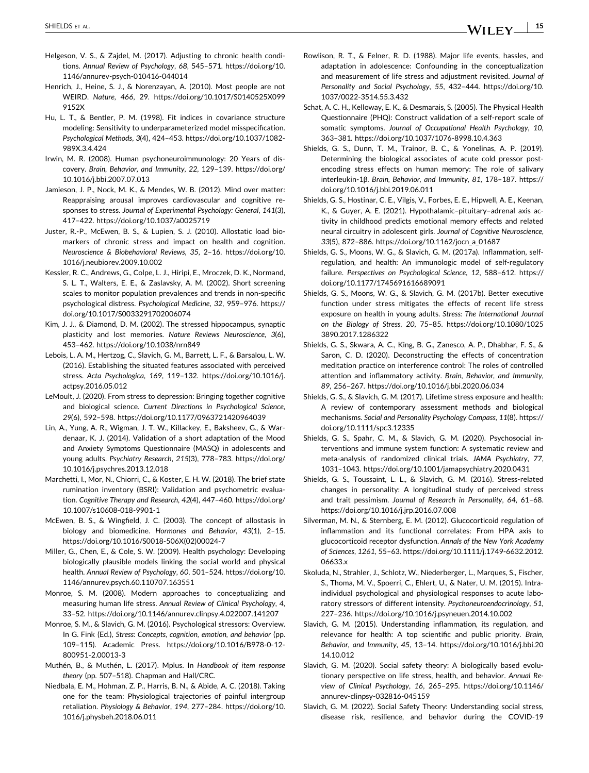- <span id="page-14-0"></span>Helgeson, V. S., & Zajdel, M. (2017). Adjusting to chronic health conditions. Annual Review of Psychology, 68, 545-571. https://doi.org/10. [1146/annurev](https://doi.org/10.1146/annurev-psych-010416-044014)‐psych‐010416‐044014
- Henrich, J., Heine, S. J., & Norenzayan, A. (2010). Most people are not WEIRD. Nature, 466, 29. https://doi.org/10.1017/S0140525X099 [9152X](https://doi.org/10.1017/S0140525X0999152X)
- Hu, L. T., & Bentler, P. M. (1998). Fit indices in covariance structure modeling: Sensitivity to underparameterized model misspecification. *Psychologic l Methods*, *3*(4), 424–453. [https //doi.org/10.1037/1082](https://doi.org/10.1037/1082-989X.3.4.424)‐ [989X.3.4.424](https://doi.org/10.1037/1082-989X.3.4.424)
- Irwin, M. R. (2008). Human psychoneuroimmunology: 20 Years of discovery. Brain, Behavior, and Immunity, 22, 129-139. https://doi.org/ [10.1016/j.bbi.2007.07.013](https://doi.org/10.1016/j.bbi.2007.07.013)
- Jamieson, J. P., Nock, M. K., & Mendes, W. B. (2012). Mind over matter: Reappraising arousal improves cardiovascular and cognitive responses to stress. *Journ l of Experiment l Psychology: Gener l*, *141*(3), 417-422. https://doi.org/10.1037/a0025719
- Juster, R.‐P., McEwen, B. S., & Lupien, S. J. (2010). Allostatic load biomarkers of chronic stress and impact on health and cognition. *Neuroscience* & *Biobehavioral Reviews*, 35, 2-16. https://doi.org/10. [1016/j.neubiorev.2009.10.002](https://doi.org/10.1016/j.neubiorev.2009.10.002)
- Kessler, R. C., Andrews, G., Colpe, L. J., Hiripi, E., Mroczek, D. K., Normand, S. L. T., Walters, E. E., & Zaslavsky, A. M. (2002). Short screening scales to monitor population prevalences and trends in non‐specifc psychological distress. *Psychologic l Medicine*, *32*, 959–976. [https //](https://doi.org/10.1017/S0033291702006074) [doi.org/10.1017/S0033291702006074](https://doi.org/10.1017/S0033291702006074)
- Kim, J. J., & Diamond, D. M. (2002). The stressed hippocampus, synaptic plasticity and lost memories. *N ture Reviews Neuroscience*, *3*(6), 453-462. https://doi.org/10.1038/nrn849
- Lebois, L. A. M., Hertzog, C., Slavich, G. M., Barrett, L. F., & Barsalou, L. W. (2016). Establishing the situated features associated with perceived stress. Acta Psychologica, 169, 119-132. https://doi.org/10.1016/j. [actpsy.2016.05.012](https://doi.org/10.1016/j.actpsy.2016.05.012)
- LeMoult, J. (2020). From stress to depression: Bringing together cognitive and biological science. *Current Directions in Psychologic l Science*, 29(6), 592-598. https://doi.org/10.1177/0963721420964039
- Lin, A., Yung, A. R., Wigman, J. T. W., Killackey, E., Baksheev, G., & Wardenaar, K. J. (2014). Validation of a short adaptation of the Mood and Anxiety Symptoms Questionnaire (MASQ) in adolescents and young adults. Psychiatry Research, 215(3), 778-783. https://doi.org/ [10.1016/j.psychres.2013.12.018](https://doi.org/10.1016/j.psychres.2013.12.018)
- Marchetti, I., Mor, N., Chiorri, C., & Koster, E. H. W. (2018). The brief state rumination inventory (BSRI): Validation and psychometric evaluation. Cognitive Therapy and Research, 42(4), 447-460. https://doi.org/ [10.1007/s10608](https://doi.org/10.1007/s10608-018-9901-1)‐018‐9901‐1
- McEwen, B. S., & Wingfeld, J. C. (2003). The concept of allostasis in biology and biomedicine. Hormones and Behavior, 43(1), 2-15. [https //doi.org/10.1016/S0018](https://doi.org/10.1016/S0018-506X(02)00024-7)‐506X(02)00024‐7
- Miller, G., Chen, E., & Cole, S. W. (2009). Health psychology: Developing biologically plausible models linking the social world and physical health. Annual Review of Psychology, 60, 501-524. https://doi.org/10. [1146/annurev.psych.60.110707.163551](https://doi.org/10.1146/annurev.psych.60.110707.163551)
- Monroe, S. M. (2008). Modern approaches to conceptualizing and measuring human life stress. *Annu l Review of Clinic l Psychology*, *4*, 33–52. [https //doi.org/10.1146/annurev.clinpsy.4.022007.141207](https://doi.org/10.1146/annurev.clinpsy.4.022007.141207)
- Monroe, S. M., & Slavich, G. M. (2016). Psychological stressors: Overview. In G. Fink (Ed.), *Stress: Concepts, cognition, emotion, and behavior (pp.* 109–115). Academic Press. [https //doi.org/10.1016/B978](https://doi.org/10.1016/B978-0-12-800951-2.00013-3)‐0‐12‐ 800951‐[2.00013](https://doi.org/10.1016/B978-0-12-800951-2.00013-3)‐3
- Muthén, B., & Muthén, L. (2017). Mplus. In *H ndbook of item response theory* (pp. 507–518). Chapman and Hall/CRC.
- Niedbala, E. M., Hohman, Z. P., Harris, B. N., & Abide, A. C. (2018). Taking one for the team: Physiological trajectories of painful intergroup retaliation. *Physiology & Beh vior*, *194*, 277–284. [https //doi.org/10.](https://doi.org/10.1016/j.physbeh.2018.06.011) [1016/j.physbeh.2018.06.011](https://doi.org/10.1016/j.physbeh.2018.06.011)
- Rowlison, R. T., & Felner, R. D. (1988). Major life events, hassles, and adaptation in adolescence: Confounding in the conceptualization and measurement of life stress and adjustment revisited. Journal of Personality and Social Psychology, 55, 432-444. https://doi.org/10. 1037/0022‐[3514.55.3.432](https://doi.org/10.1037/0022-3514.55.3.432)
- Schat, A. C. H., Kelloway, E. K., & Desmarais, S. (2005). The Physical Health Questionnaire (PHQ): Construct validation of a self-report scale of somatic symptoms. Journal of Occupational Health Psychology, 10, 363–381. [https //doi.org/10.1037/1076](https://doi.org/10.1037/1076-8998.10.4.363)‐8998.10.4.363
- Shields, G. S., Dunn, T. M., Trainor, B. C., & Yonelinas, A. P. (2019). Determining the biological associates of acute cold pressor postencoding stress effects on human memory: The role of salivary interleukin-1β. *Brain, Behavior, and Immunity, 81, 178-187. https://* [doi.org/10.1016/j.bbi.2019.06.011](https://doi.org/10.1016/j.bbi.2019.06.011)
- Shields, G. S., Hostinar, C. E., Vilgis, V., Forbes, E. E., Hipwell, A. E., Keenan, K., & Guyer, A. E. (2021). Hypothalamic–pituitary–adrenal axis activity in childhood predicts emotional memory effects and related neural circuitry in adolescent girls. *Journ l of Cognitive Neuroscience*, 33(5), 872-886. https://doi.org/10.1162/jocn\_a\_01687
- Shields, G. S., Moons, W. G., & Slavich, G. M. (2017a). Infammation, self‐ regulation, and health: An immunologic model of self-regulatory failure. Perspectives on Psychological Science, 12, 588-612. https:// [doi.org/10.1177/1745691616689091](https://doi.org/10.1177/1745691616689091)
- Shields, G. S., Moons, W. G., & Slavich, G. M. (2017b). Better executive function under stress mitigates the effects of recent life stress exposure on health in young adults. Stress: The International Journal *on the Biology of Stress*, *20*, 75–85. [https //doi.org/10.1080/1025](https://doi.org/10.1080/10253890.2017.1286322) [3890.2017.1286322](https://doi.org/10.1080/10253890.2017.1286322)
- Shields, G. S., Skwara, A. C., King, B. G., Zanesco, A. P., Dhabhar, F. S., & Saron, C. D. (2020). Deconstructing the effects of concentration meditation practice on interference control: The roles of controlled attention and infammatory activity. *Br in, Beh vior, nd Immunity*, *89*, 256–267. [https //doi.org/10.1016/j.bbi.2020.06.034](https://doi.org/10.1016/j.bbi.2020.06.034)
- Shields, G. S., & Slavich, G. M. (2017). Lifetime stress exposure and health A review of contemporary assessment methods and biological mechanisms. *Social and Personality Psychology Compass*, 11(8). https:// [doi.org/10.1111/spc3.12335](https://doi.org/10.1111/spc3.12335)
- Shields, G. S., Spahr, C. M., & Slavich, G. M. (2020). Psychosocial interventions and immune system function: A systematic review and meta-analysis of randomized clinical trials. JAMA Psychiatry, 77, 1031–1043. [https //doi.org/10.1001/jamapsychiatry.2020.0431](https://doi.org/10.1001/jamapsychiatry.2020.0431)
- Shields, G. S., Toussaint, L. L., & Slavich, G. M. (2016). Stress-related changes in personality: A longitudinal study of perceived stress and trait pessimism. Journal of Research in Personality, 64, 61-68. [https //doi.org/10.1016/j.jrp.2016.07.008](https://doi.org/10.1016/j.jrp.2016.07.008)
- Silverman, M. N., & Sternberg, E. M. (2012). Glucocorticoid regulation of inflammation and its functional correlates: From HPA axis to glucocorticoid receptor dysfunction. *Ann ls of the New York Ac demy of Sciences*, *1261*, 55–63. [https //doi.org/10.1111/j.1749](https://doi.org/10.1111/j.1749-6632.2012.06633.x)‐6632.2012. [06633.x](https://doi.org/10.1111/j.1749-6632.2012.06633.x)
- Skoluda, N., Strahler, J., Schlotz, W., Niederberger, L., Marques, S., Fischer, S., Thoma, M. V., Spoerri, C., Ehlert, U., & Nater, U. M. (2015). Intra‐ individual psychological and physiological responses to acute laboratory stressors of different intensity. *Psychoneuroendocrinology*, *51*, 227–236. [https //doi.org/10.1016/j.psyneuen.2014.10.002](https://doi.org/10.1016/j.psyneuen.2014.10.002)
- Slavich, G. M. (2015). Understanding infammation, its regulation, and relevance for health: A top scientific and public priority. Brain, *Beh vior, nd Immunity*, *45*, 13–14. [https //doi.org/10.1016/j.bbi.20](https://doi.org/10.1016/j.bbi.2014.10.012) [14.10.012](https://doi.org/10.1016/j.bbi.2014.10.012)
- Slavich, G. M. (2020). Social safety theory: A biologically based evolutionary perspective on life stress, health, and behavior. Annual Re*view of Clinic l Psychology*, *16*, 265–295. [https //doi.org/10.1146/](https://doi.org/10.1146/annurev-clinpsy-032816-045159) [annurev](https://doi.org/10.1146/annurev-clinpsy-032816-045159)‐clinpsy‐032816‐045159
- Slavich, G. M. (2022). Social Safety Theory: Understanding social stress, disease risk, resilience, and behavior during the COVID‐19